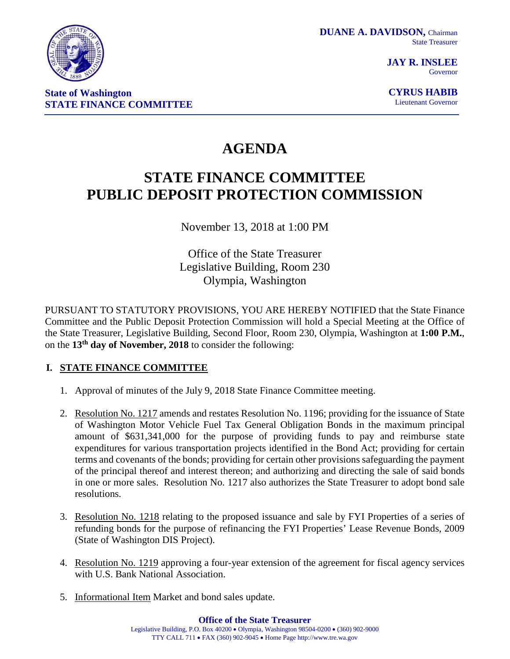

**JAY R. INSLEE** Governor

**CYRUS HABIB** Lieutenant Governor

# **AGENDA**

# **STATE FINANCE COMMITTEE PUBLIC DEPOSIT PROTECTION COMMISSION**

November 13, 2018 at 1:00 PM

Office of the State Treasurer Legislative Building, Room 230 Olympia, Washington

PURSUANT TO STATUTORY PROVISIONS, YOU ARE HEREBY NOTIFIED that the State Finance Committee and the Public Deposit Protection Commission will hold a Special Meeting at the Office of the State Treasurer, Legislative Building, Second Floor, Room 230, Olympia, Washington at **1:00 P.M.**, on the **13th day of November, 2018** to consider the following:

# **I. STATE FINANCE COMMITTEE**

- 1. Approval of minutes of the July 9, 2018 State Finance Committee meeting.
- 2. Resolution No. 1217 amends and restates Resolution No. 1196; providing for the issuance of State of Washington Motor Vehicle Fuel Tax General Obligation Bonds in the maximum principal amount of \$631,341,000 for the purpose of providing funds to pay and reimburse state expenditures for various transportation projects identified in the Bond Act; providing for certain terms and covenants of the bonds; providing for certain other provisions safeguarding the payment of the principal thereof and interest thereon; and authorizing and directing the sale of said bonds in one or more sales. Resolution No. 1217 also authorizes the State Treasurer to adopt bond sale resolutions.
- 3. Resolution No. 1218 relating to the proposed issuance and sale by FYI Properties of a series of refunding bonds for the purpose of refinancing the FYI Properties' Lease Revenue Bonds, 2009 (State of Washington DIS Project).
- 4. Resolution No. 1219 approving a four-year extension of the agreement for fiscal agency services with U.S. Bank National Association.
- 5. Informational Item Market and bond sales update.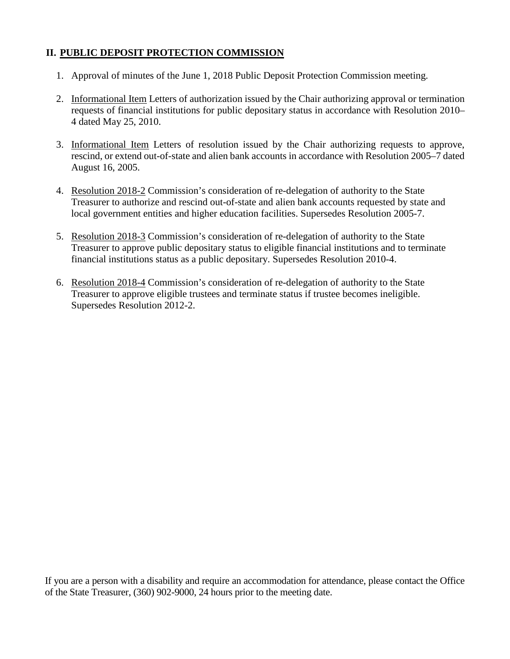# **II. PUBLIC DEPOSIT PROTECTION COMMISSION**

- 1. Approval of minutes of the June 1, 2018 Public Deposit Protection Commission meeting.
- 2. Informational Item Letters of authorization issued by the Chair authorizing approval or termination requests of financial institutions for public depositary status in accordance with Resolution 2010– 4 dated May 25, 2010.
- 3. Informational Item Letters of resolution issued by the Chair authorizing requests to approve, rescind, or extend out-of-state and alien bank accounts in accordance with Resolution 2005–7 dated August 16, 2005.
- 4. Resolution 2018-2 Commission's consideration of re-delegation of authority to the State Treasurer to authorize and rescind out-of-state and alien bank accounts requested by state and local government entities and higher education facilities. Supersedes Resolution 2005-7.
- 5. Resolution 2018-3 Commission's consideration of re-delegation of authority to the State Treasurer to approve public depositary status to eligible financial institutions and to terminate financial institutions status as a public depositary. Supersedes Resolution 2010-4.
- 6. Resolution 2018-4 Commission's consideration of re-delegation of authority to the State Treasurer to approve eligible trustees and terminate status if trustee becomes ineligible. Supersedes Resolution 2012-2.

If you are a person with a disability and require an accommodation for attendance, please contact the Office of the State Treasurer, (360) 902-9000, 24 hours prior to the meeting date.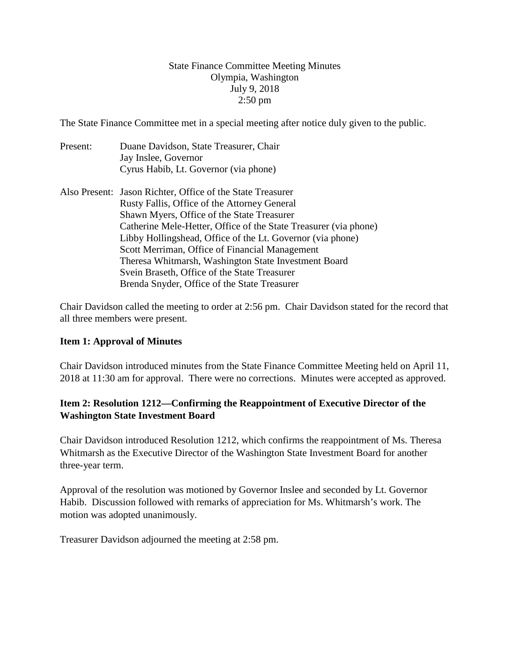## State Finance Committee Meeting Minutes Olympia, Washington July 9, 2018 2:50 pm

The State Finance Committee met in a special meeting after notice duly given to the public.

- Present: Duane Davidson, State Treasurer, Chair Jay Inslee, Governor Cyrus Habib, Lt. Governor (via phone)
- Also Present: Jason Richter, Office of the State Treasurer Rusty Fallis, Office of the Attorney General Shawn Myers, Office of the State Treasurer Catherine Mele-Hetter, Office of the State Treasurer (via phone) Libby Hollingshead, Office of the Lt. Governor (via phone) Scott Merriman, Office of Financial Management Theresa Whitmarsh, Washington State Investment Board Svein Braseth, Office of the State Treasurer Brenda Snyder, Office of the State Treasurer

Chair Davidson called the meeting to order at 2:56 pm. Chair Davidson stated for the record that all three members were present.

# **Item 1: Approval of Minutes**

Chair Davidson introduced minutes from the State Finance Committee Meeting held on April 11, 2018 at 11:30 am for approval. There were no corrections. Minutes were accepted as approved.

# **Item 2: Resolution 1212—Confirming the Reappointment of Executive Director of the Washington State Investment Board**

Chair Davidson introduced Resolution 1212, which confirms the reappointment of Ms. Theresa Whitmarsh as the Executive Director of the Washington State Investment Board for another three-year term.

Approval of the resolution was motioned by Governor Inslee and seconded by Lt. Governor Habib. Discussion followed with remarks of appreciation for Ms. Whitmarsh's work. The motion was adopted unanimously.

Treasurer Davidson adjourned the meeting at 2:58 pm.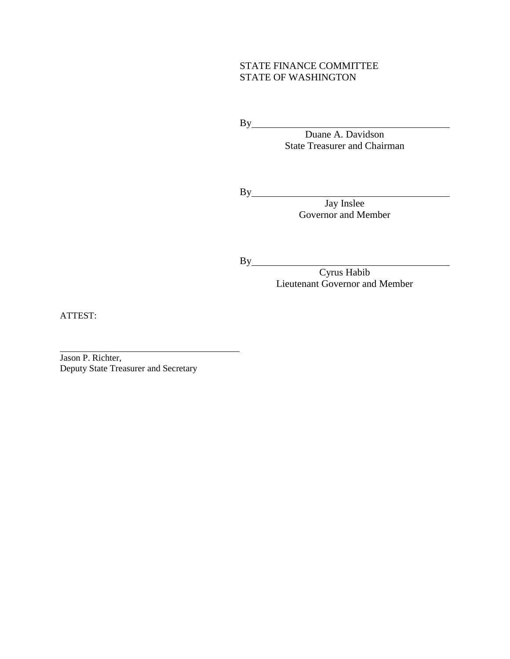## STATE FINANCE COMMITTEE STATE OF WASHINGTON

By

Duane A. Davidson State Treasurer and Chairman

Jay Inslee

Governor and Member

By

By

Cyrus Habib Lieutenant Governor and Member

ATTEST:

Jason P. Richter, Deputy State Treasurer and Secretary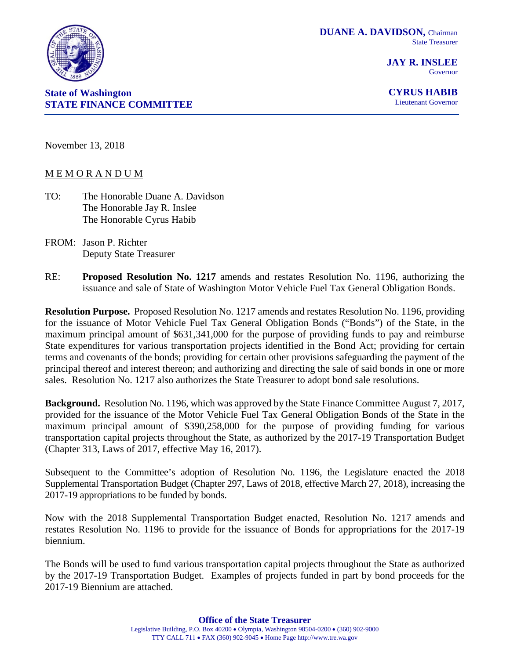

**JAY R. INSLEE** Governor



**CYRUS HABIB** Lieutenant Governor

November 13, 2018

#### M E M O R A N D U M

- TO: The Honorable Duane A. Davidson The Honorable Jay R. Inslee The Honorable Cyrus Habib
- FROM: Jason P. Richter Deputy State Treasurer
- RE: **Proposed Resolution No. 1217** amends and restates Resolution No. 1196, authorizing the issuance and sale of State of Washington Motor Vehicle Fuel Tax General Obligation Bonds.

**Resolution Purpose.** Proposed Resolution No. 1217 amends and restates Resolution No. 1196, providing for the issuance of Motor Vehicle Fuel Tax General Obligation Bonds ("Bonds") of the State, in the maximum principal amount of \$631,341,000 for the purpose of providing funds to pay and reimburse State expenditures for various transportation projects identified in the Bond Act; providing for certain terms and covenants of the bonds; providing for certain other provisions safeguarding the payment of the principal thereof and interest thereon; and authorizing and directing the sale of said bonds in one or more sales. Resolution No. 1217 also authorizes the State Treasurer to adopt bond sale resolutions.

**Background.** Resolution No. 1196, which was approved by the State Finance Committee August 7, 2017, provided for the issuance of the Motor Vehicle Fuel Tax General Obligation Bonds of the State in the maximum principal amount of \$390,258,000 for the purpose of providing funding for various transportation capital projects throughout the State, as authorized by the 2017-19 Transportation Budget (Chapter 313, Laws of 2017, effective May 16, 2017).

Subsequent to the Committee's adoption of Resolution No. 1196, the Legislature enacted the 2018 Supplemental Transportation Budget (Chapter 297, Laws of 2018, effective March 27, 2018), increasing the 2017-19 appropriations to be funded by bonds.

Now with the 2018 Supplemental Transportation Budget enacted, Resolution No. 1217 amends and restates Resolution No. 1196 to provide for the issuance of Bonds for appropriations for the 2017-19 biennium.

The Bonds will be used to fund various transportation capital projects throughout the State as authorized by the 2017-19 Transportation Budget. Examples of projects funded in part by bond proceeds for the 2017-19 Biennium are attached.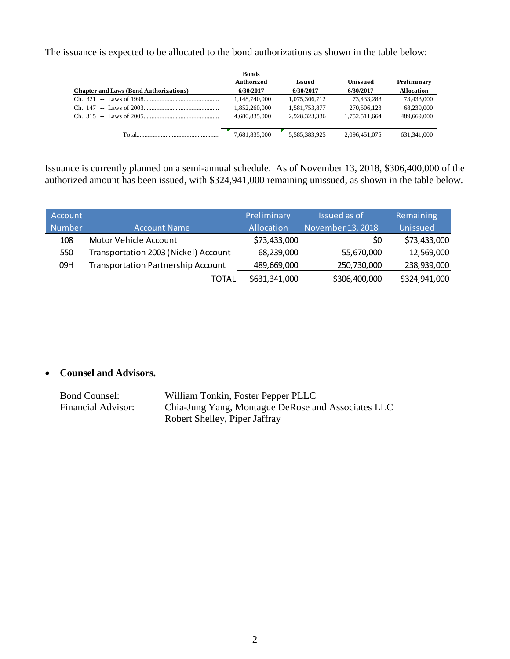The issuance is expected to be allocated to the bond authorizations as shown in the table below:

|                                                                                                                                                                                                                               | <b>Bonds</b>      |               |               |                   |
|-------------------------------------------------------------------------------------------------------------------------------------------------------------------------------------------------------------------------------|-------------------|---------------|---------------|-------------------|
|                                                                                                                                                                                                                               | <b>Authorized</b> | Issued        | Unissued      | Preliminary       |
| <b>Chapter and Laws (Bond Authorizations)</b>                                                                                                                                                                                 | 6/30/2017         | 6/30/2017     | 6/30/2017     | <b>Allocation</b> |
|                                                                                                                                                                                                                               | 1.148.740.000     | 1.075.306.712 | 73.433.288    | 73.433,000        |
|                                                                                                                                                                                                                               | 1.852.260.000     | 1.581.753.877 | 270,506,123   | 68.239,000        |
|                                                                                                                                                                                                                               | 4.680.835,000     | 2.928.323.336 | 1.752.511.664 | 489,669,000       |
| Total and the contract of the contract of the contract of the contract of the contract of the contract of the contract of the contract of the contract of the contract of the contract of the contract of the contract of the | 7,681,835,000     | 5.585.383.925 | 2.096.451.075 | 631, 341, 000     |

Issuance is currently planned on a semi-annual schedule. As of November 13, 2018, \$306,400,000 of the authorized amount has been issued, with \$324,941,000 remaining unissued, as shown in the table below.

| Account |                                           | Preliminary   | Issued as of      | Remaining     |
|---------|-------------------------------------------|---------------|-------------------|---------------|
| Number  | <b>Account Name</b>                       | Allocation    | November 13, 2018 | Unissued      |
| 108     | Motor Vehicle Account                     | \$73,433,000  | SO                | \$73,433,000  |
| 550     | Transportation 2003 (Nickel) Account      | 68,239,000    | 55,670,000        | 12,569,000    |
| 09H     | <b>Transportation Partnership Account</b> | 489,669,000   | 250,730,000       | 238,939,000   |
|         | <b>TOTAL</b>                              | \$631,341,000 | \$306,400,000     | \$324,941,000 |

# • **Counsel and Advisors.**

| <b>Bond Counsel:</b> | William Tonkin, Foster Pepper PLLC                 |
|----------------------|----------------------------------------------------|
| Financial Advisor:   | Chia-Jung Yang, Montague DeRose and Associates LLC |
|                      | Robert Shelley, Piper Jaffray                      |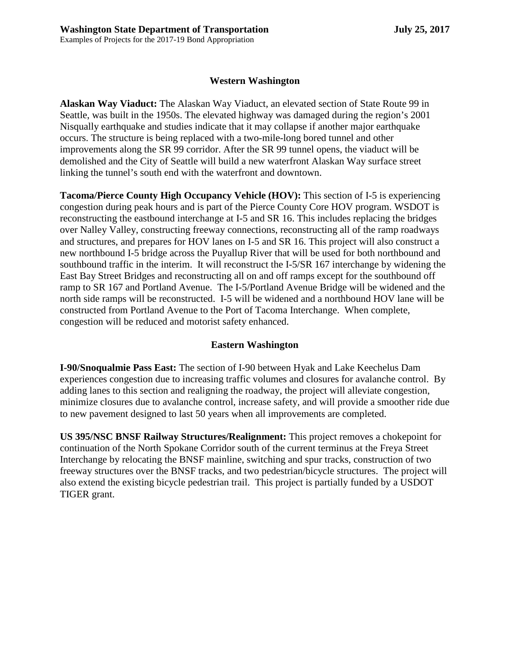#### **Western Washington**

**Alaskan Way Viaduct:** The Alaskan Way Viaduct, an elevated section of State Route 99 in Seattle, was built in the 1950s. The elevated highway was damaged during the region's 2001 Nisqually earthquake and studies indicate that it may collapse if another major earthquake occurs. The structure is being replaced with a two-mile-long bored tunnel and other improvements along the SR 99 corridor. After the SR 99 tunnel opens, the viaduct will be demolished and the City of Seattle will build a new waterfront Alaskan Way surface street linking the tunnel's south end with the waterfront and downtown.

**Tacoma/Pierce County High Occupancy Vehicle (HOV):** This section of I-5 is experiencing congestion during peak hours and is part of the Pierce County Core HOV program. WSDOT is reconstructing the eastbound interchange at I-5 and SR 16. This includes replacing the bridges over Nalley Valley, constructing freeway connections, reconstructing all of the ramp roadways and structures, and prepares for HOV lanes on I-5 and SR 16. This project will also construct a new northbound I-5 bridge across the Puyallup River that will be used for both northbound and southbound traffic in the interim. It will reconstruct the I-5/SR 167 interchange by widening the East Bay Street Bridges and reconstructing all on and off ramps except for the southbound off ramp to SR 167 and Portland Avenue. The I-5/Portland Avenue Bridge will be widened and the north side ramps will be reconstructed. I-5 will be widened and a northbound HOV lane will be constructed from Portland Avenue to the Port of Tacoma Interchange. When complete, congestion will be reduced and motorist safety enhanced.

#### **Eastern Washington**

**I-90/Snoqualmie Pass East:** The section of I-90 between Hyak and Lake Keechelus Dam experiences congestion due to increasing traffic volumes and closures for avalanche control. By adding lanes to this section and realigning the roadway, the project will alleviate congestion, minimize closures due to avalanche control, increase safety, and will provide a smoother ride due to new pavement designed to last 50 years when all improvements are completed.

**US 395/NSC BNSF Railway Structures/Realignment:** This project removes a chokepoint for continuation of the North Spokane Corridor south of the current terminus at the Freya Street Interchange by relocating the BNSF mainline, switching and spur tracks, construction of two freeway structures over the BNSF tracks, and two pedestrian/bicycle structures. The project will also extend the existing bicycle pedestrian trail. This project is partially funded by a USDOT TIGER grant.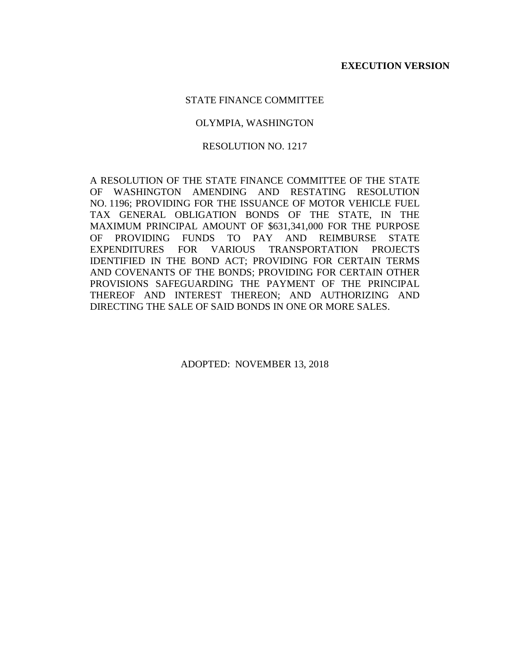#### STATE FINANCE COMMITTEE

#### OLYMPIA, WASHINGTON

#### RESOLUTION NO. 1217

A RESOLUTION OF THE STATE FINANCE COMMITTEE OF THE STATE OF WASHINGTON AMENDING AND RESTATING RESOLUTION NO. 1196; PROVIDING FOR THE ISSUANCE OF MOTOR VEHICLE FUEL TAX GENERAL OBLIGATION BONDS OF THE STATE, IN THE MAXIMUM PRINCIPAL AMOUNT OF \$631,341,000 FOR THE PURPOSE OF PROVIDING FUNDS TO PAY AND REIMBURSE STATE EXPENDITURES FOR VARIOUS TRANSPORTATION PROJECTS IDENTIFIED IN THE BOND ACT; PROVIDING FOR CERTAIN TERMS AND COVENANTS OF THE BONDS; PROVIDING FOR CERTAIN OTHER PROVISIONS SAFEGUARDING THE PAYMENT OF THE PRINCIPAL THEREOF AND INTEREST THEREON; AND AUTHORIZING AND DIRECTING THE SALE OF SAID BONDS IN ONE OR MORE SALES.

ADOPTED: NOVEMBER 13, 2018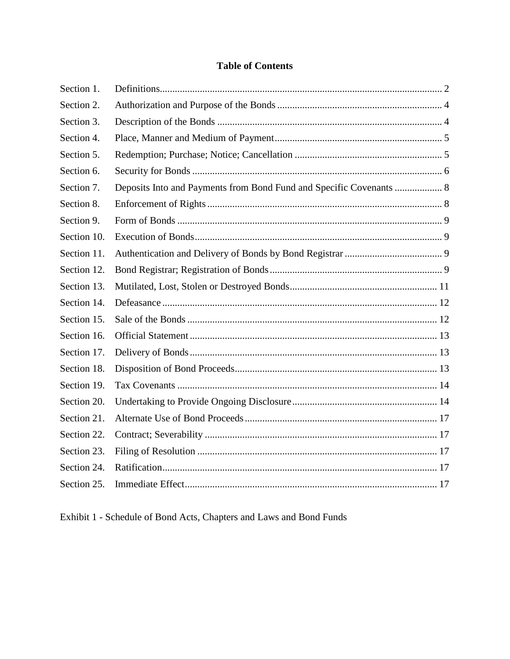# **Table of Contents**

| Section 1.  |                                                                     |  |
|-------------|---------------------------------------------------------------------|--|
| Section 2.  |                                                                     |  |
| Section 3.  |                                                                     |  |
| Section 4.  |                                                                     |  |
| Section 5.  |                                                                     |  |
| Section 6.  |                                                                     |  |
| Section 7.  | Deposits Into and Payments from Bond Fund and Specific Covenants  8 |  |
| Section 8.  |                                                                     |  |
| Section 9.  |                                                                     |  |
| Section 10. |                                                                     |  |
| Section 11. |                                                                     |  |
| Section 12. |                                                                     |  |
| Section 13. |                                                                     |  |
| Section 14. |                                                                     |  |
| Section 15. |                                                                     |  |
| Section 16. |                                                                     |  |
| Section 17. |                                                                     |  |
| Section 18. |                                                                     |  |
| Section 19. |                                                                     |  |
| Section 20. |                                                                     |  |
| Section 21. |                                                                     |  |
| Section 22. |                                                                     |  |
| Section 23. |                                                                     |  |
| Section 24. |                                                                     |  |
| Section 25. |                                                                     |  |

Exhibit 1 - Schedule of Bond Acts, Chapters and Laws and Bond Funds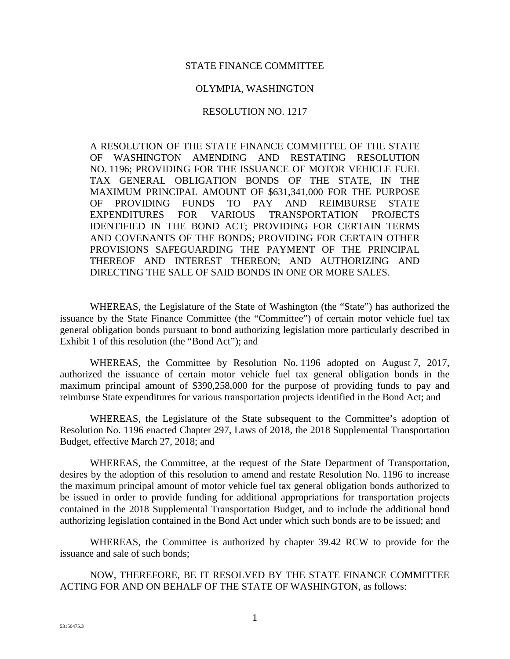#### STATE FINANCE COMMITTEE

#### OLYMPIA, WASHINGTON

#### RESOLUTION NO. 1217

A RESOLUTION OF THE STATE FINANCE COMMITTEE OF THE STATE OF WASHINGTON AMENDING AND RESTATING RESOLUTION NO. 1196; PROVIDING FOR THE ISSUANCE OF MOTOR VEHICLE FUEL TAX GENERAL OBLIGATION BONDS OF THE STATE, IN THE MAXIMUM PRINCIPAL AMOUNT OF \$631,341,000 FOR THE PURPOSE OF PROVIDING FUNDS TO PAY AND REIMBURSE STATE EXPENDITURES FOR VARIOUS TRANSPORTATION PROJECTS IDENTIFIED IN THE BOND ACT; PROVIDING FOR CERTAIN TERMS AND COVENANTS OF THE BONDS; PROVIDING FOR CERTAIN OTHER PROVISIONS SAFEGUARDING THE PAYMENT OF THE PRINCIPAL THEREOF AND INTEREST THEREON; AND AUTHORIZING AND DIRECTING THE SALE OF SAID BONDS IN ONE OR MORE SALES.

WHEREAS, the Legislature of the State of Washington (the "State") has authorized the issuance by the State Finance Committee (the "Committee") of certain motor vehicle fuel tax general obligation bonds pursuant to bond authorizing legislation more particularly described in Exhibit 1 of this resolution (the "Bond Act"); and

WHEREAS, the Committee by Resolution No. 1196 adopted on August 7, 2017, authorized the issuance of certain motor vehicle fuel tax general obligation bonds in the maximum principal amount of \$390,258,000 for the purpose of providing funds to pay and reimburse State expenditures for various transportation projects identified in the Bond Act; and

WHEREAS, the Legislature of the State subsequent to the Committee's adoption of Resolution No. 1196 enacted Chapter 297, Laws of 2018, the 2018 Supplemental Transportation Budget, effective March 27, 2018; and

WHEREAS, the Committee, at the request of the State Department of Transportation, desires by the adoption of this resolution to amend and restate Resolution No. 1196 to increase the maximum principal amount of motor vehicle fuel tax general obligation bonds authorized to be issued in order to provide funding for additional appropriations for transportation projects contained in the 2018 Supplemental Transportation Budget, and to include the additional bond authorizing legislation contained in the Bond Act under which such bonds are to be issued; and

WHEREAS, the Committee is authorized by chapter 39.42 RCW to provide for the issuance and sale of such bonds;

NOW, THEREFORE, BE IT RESOLVED BY THE STATE FINANCE COMMITTEE ACTING FOR AND ON BEHALF OF THE STATE OF WASHINGTON, as follows: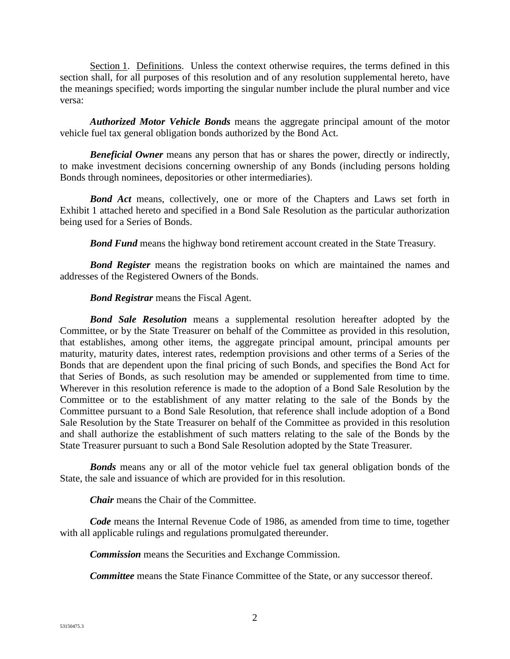Section 1. Definitions. Unless the context otherwise requires, the terms defined in this section shall, for all purposes of this resolution and of any resolution supplemental hereto, have the meanings specified; words importing the singular number include the plural number and vice versa:

*Authorized Motor Vehicle Bonds* means the aggregate principal amount of the motor vehicle fuel tax general obligation bonds authorized by the Bond Act.

**Beneficial Owner** means any person that has or shares the power, directly or indirectly, to make investment decisions concerning ownership of any Bonds (including persons holding Bonds through nominees, depositories or other intermediaries).

**Bond Act** means, collectively, one or more of the Chapters and Laws set forth in Exhibit 1 attached hereto and specified in a Bond Sale Resolution as the particular authorization being used for a Series of Bonds.

*Bond Fund* means the highway bond retirement account created in the State Treasury.

*Bond Register* means the registration books on which are maintained the names and addresses of the Registered Owners of the Bonds.

#### *Bond Registrar* means the Fiscal Agent.

*Bond Sale Resolution* means a supplemental resolution hereafter adopted by the Committee, or by the State Treasurer on behalf of the Committee as provided in this resolution, that establishes, among other items, the aggregate principal amount, principal amounts per maturity, maturity dates, interest rates, redemption provisions and other terms of a Series of the Bonds that are dependent upon the final pricing of such Bonds, and specifies the Bond Act for that Series of Bonds, as such resolution may be amended or supplemented from time to time. Wherever in this resolution reference is made to the adoption of a Bond Sale Resolution by the Committee or to the establishment of any matter relating to the sale of the Bonds by the Committee pursuant to a Bond Sale Resolution, that reference shall include adoption of a Bond Sale Resolution by the State Treasurer on behalf of the Committee as provided in this resolution and shall authorize the establishment of such matters relating to the sale of the Bonds by the State Treasurer pursuant to such a Bond Sale Resolution adopted by the State Treasurer.

*Bonds* means any or all of the motor vehicle fuel tax general obligation bonds of the State, the sale and issuance of which are provided for in this resolution.

*Chair* means the Chair of the Committee.

*Code* means the Internal Revenue Code of 1986, as amended from time to time, together with all applicable rulings and regulations promulgated thereunder.

*Commission* means the Securities and Exchange Commission.

*Committee* means the State Finance Committee of the State, or any successor thereof.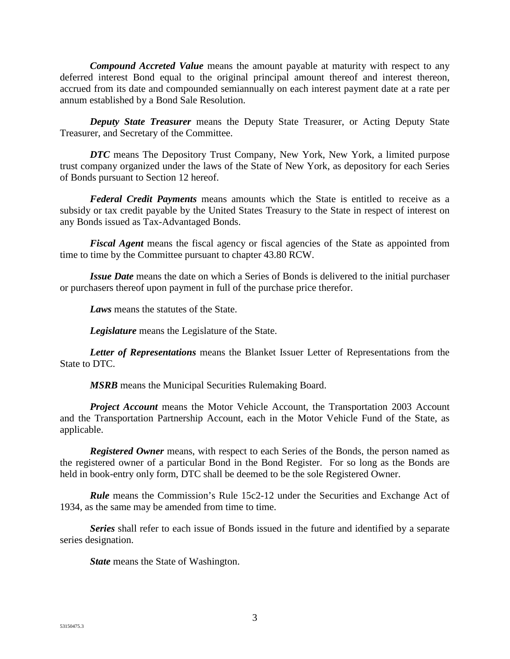*Compound Accreted Value* means the amount payable at maturity with respect to any deferred interest Bond equal to the original principal amount thereof and interest thereon, accrued from its date and compounded semiannually on each interest payment date at a rate per annum established by a Bond Sale Resolution.

*Deputy State Treasurer* means the Deputy State Treasurer, or Acting Deputy State Treasurer, and Secretary of the Committee.

**DTC** means The Depository Trust Company, New York, New York, a limited purpose trust company organized under the laws of the State of New York, as depository for each Series of Bonds pursuant to Section 12 hereof.

*Federal Credit Payments* means amounts which the State is entitled to receive as a subsidy or tax credit payable by the United States Treasury to the State in respect of interest on any Bonds issued as Tax-Advantaged Bonds.

*Fiscal Agent* means the fiscal agency or fiscal agencies of the State as appointed from time to time by the Committee pursuant to chapter 43.80 RCW.

*Issue Date* means the date on which a Series of Bonds is delivered to the initial purchaser or purchasers thereof upon payment in full of the purchase price therefor.

*Laws* means the statutes of the State.

*Legislature* means the Legislature of the State.

*Letter of Representations* means the Blanket Issuer Letter of Representations from the State to DTC.

*MSRB* means the Municipal Securities Rulemaking Board.

*Project Account* means the Motor Vehicle Account, the Transportation 2003 Account and the Transportation Partnership Account, each in the Motor Vehicle Fund of the State, as applicable.

*Registered Owner* means, with respect to each Series of the Bonds, the person named as the registered owner of a particular Bond in the Bond Register. For so long as the Bonds are held in book-entry only form, DTC shall be deemed to be the sole Registered Owner.

*Rule* means the Commission's Rule 15c2-12 under the Securities and Exchange Act of 1934, as the same may be amended from time to time.

*Series* shall refer to each issue of Bonds issued in the future and identified by a separate series designation.

*State* means the State of Washington.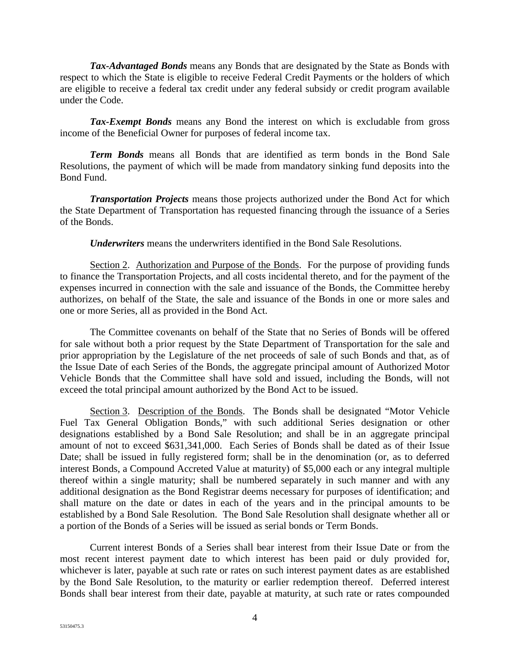*Tax-Advantaged Bonds* means any Bonds that are designated by the State as Bonds with respect to which the State is eligible to receive Federal Credit Payments or the holders of which are eligible to receive a federal tax credit under any federal subsidy or credit program available under the Code.

*Tax-Exempt Bonds* means any Bond the interest on which is excludable from gross income of the Beneficial Owner for purposes of federal income tax.

*Term Bonds* means all Bonds that are identified as term bonds in the Bond Sale Resolutions, the payment of which will be made from mandatory sinking fund deposits into the Bond Fund.

*Transportation Projects* means those projects authorized under the Bond Act for which the State Department of Transportation has requested financing through the issuance of a Series of the Bonds.

*Underwriters* means the underwriters identified in the Bond Sale Resolutions.

Section 2. Authorization and Purpose of the Bonds. For the purpose of providing funds to finance the Transportation Projects, and all costs incidental thereto, and for the payment of the expenses incurred in connection with the sale and issuance of the Bonds, the Committee hereby authorizes, on behalf of the State, the sale and issuance of the Bonds in one or more sales and one or more Series, all as provided in the Bond Act.

The Committee covenants on behalf of the State that no Series of Bonds will be offered for sale without both a prior request by the State Department of Transportation for the sale and prior appropriation by the Legislature of the net proceeds of sale of such Bonds and that, as of the Issue Date of each Series of the Bonds, the aggregate principal amount of Authorized Motor Vehicle Bonds that the Committee shall have sold and issued, including the Bonds, will not exceed the total principal amount authorized by the Bond Act to be issued.

Section 3. Description of the Bonds. The Bonds shall be designated "Motor Vehicle Fuel Tax General Obligation Bonds," with such additional Series designation or other designations established by a Bond Sale Resolution; and shall be in an aggregate principal amount of not to exceed \$631,341,000. Each Series of Bonds shall be dated as of their Issue Date; shall be issued in fully registered form; shall be in the denomination (or, as to deferred interest Bonds, a Compound Accreted Value at maturity) of \$5,000 each or any integral multiple thereof within a single maturity; shall be numbered separately in such manner and with any additional designation as the Bond Registrar deems necessary for purposes of identification; and shall mature on the date or dates in each of the years and in the principal amounts to be established by a Bond Sale Resolution. The Bond Sale Resolution shall designate whether all or a portion of the Bonds of a Series will be issued as serial bonds or Term Bonds.

Current interest Bonds of a Series shall bear interest from their Issue Date or from the most recent interest payment date to which interest has been paid or duly provided for, whichever is later, payable at such rate or rates on such interest payment dates as are established by the Bond Sale Resolution, to the maturity or earlier redemption thereof. Deferred interest Bonds shall bear interest from their date, payable at maturity, at such rate or rates compounded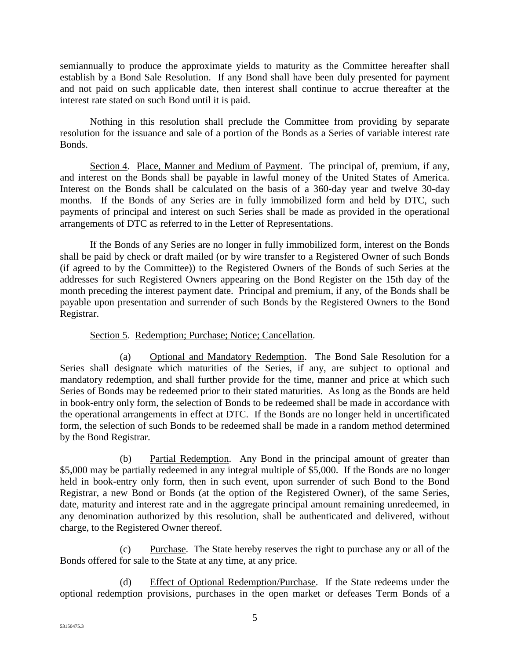semiannually to produce the approximate yields to maturity as the Committee hereafter shall establish by a Bond Sale Resolution. If any Bond shall have been duly presented for payment and not paid on such applicable date, then interest shall continue to accrue thereafter at the interest rate stated on such Bond until it is paid.

Nothing in this resolution shall preclude the Committee from providing by separate resolution for the issuance and sale of a portion of the Bonds as a Series of variable interest rate Bonds.

Section 4. Place, Manner and Medium of Payment. The principal of, premium, if any, and interest on the Bonds shall be payable in lawful money of the United States of America. Interest on the Bonds shall be calculated on the basis of a 360-day year and twelve 30-day months. If the Bonds of any Series are in fully immobilized form and held by DTC, such payments of principal and interest on such Series shall be made as provided in the operational arrangements of DTC as referred to in the Letter of Representations.

If the Bonds of any Series are no longer in fully immobilized form, interest on the Bonds shall be paid by check or draft mailed (or by wire transfer to a Registered Owner of such Bonds (if agreed to by the Committee)) to the Registered Owners of the Bonds of such Series at the addresses for such Registered Owners appearing on the Bond Register on the 15th day of the month preceding the interest payment date. Principal and premium, if any, of the Bonds shall be payable upon presentation and surrender of such Bonds by the Registered Owners to the Bond Registrar.

# Section 5. Redemption; Purchase; Notice; Cancellation.

(a) Optional and Mandatory Redemption. The Bond Sale Resolution for a Series shall designate which maturities of the Series, if any, are subject to optional and mandatory redemption, and shall further provide for the time, manner and price at which such Series of Bonds may be redeemed prior to their stated maturities. As long as the Bonds are held in book-entry only form, the selection of Bonds to be redeemed shall be made in accordance with the operational arrangements in effect at DTC. If the Bonds are no longer held in uncertificated form, the selection of such Bonds to be redeemed shall be made in a random method determined by the Bond Registrar.

(b) Partial Redemption. Any Bond in the principal amount of greater than \$5,000 may be partially redeemed in any integral multiple of \$5,000. If the Bonds are no longer held in book-entry only form, then in such event, upon surrender of such Bond to the Bond Registrar, a new Bond or Bonds (at the option of the Registered Owner), of the same Series, date, maturity and interest rate and in the aggregate principal amount remaining unredeemed, in any denomination authorized by this resolution, shall be authenticated and delivered, without charge, to the Registered Owner thereof.

(c) Purchase. The State hereby reserves the right to purchase any or all of the Bonds offered for sale to the State at any time, at any price.

(d) Effect of Optional Redemption/Purchase. If the State redeems under the optional redemption provisions, purchases in the open market or defeases Term Bonds of a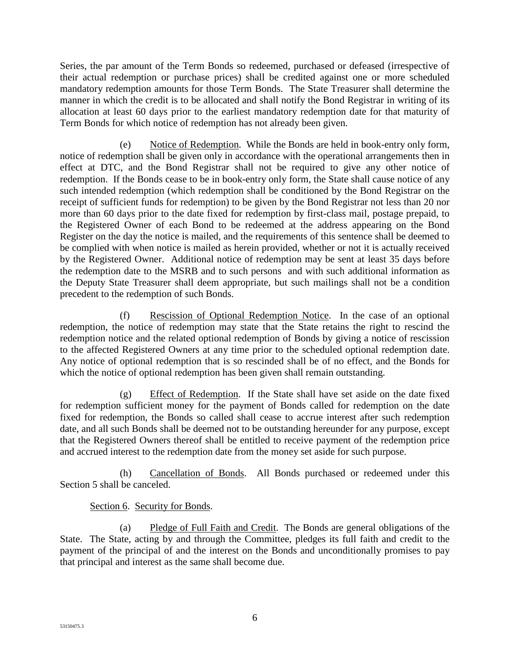Series, the par amount of the Term Bonds so redeemed, purchased or defeased (irrespective of their actual redemption or purchase prices) shall be credited against one or more scheduled mandatory redemption amounts for those Term Bonds. The State Treasurer shall determine the manner in which the credit is to be allocated and shall notify the Bond Registrar in writing of its allocation at least 60 days prior to the earliest mandatory redemption date for that maturity of Term Bonds for which notice of redemption has not already been given.

(e) Notice of Redemption. While the Bonds are held in book-entry only form, notice of redemption shall be given only in accordance with the operational arrangements then in effect at DTC, and the Bond Registrar shall not be required to give any other notice of redemption. If the Bonds cease to be in book-entry only form, the State shall cause notice of any such intended redemption (which redemption shall be conditioned by the Bond Registrar on the receipt of sufficient funds for redemption) to be given by the Bond Registrar not less than 20 nor more than 60 days prior to the date fixed for redemption by first-class mail, postage prepaid, to the Registered Owner of each Bond to be redeemed at the address appearing on the Bond Register on the day the notice is mailed, and the requirements of this sentence shall be deemed to be complied with when notice is mailed as herein provided, whether or not it is actually received by the Registered Owner. Additional notice of redemption may be sent at least 35 days before the redemption date to the MSRB and to such persons and with such additional information as the Deputy State Treasurer shall deem appropriate, but such mailings shall not be a condition precedent to the redemption of such Bonds.

(f) Rescission of Optional Redemption Notice. In the case of an optional redemption, the notice of redemption may state that the State retains the right to rescind the redemption notice and the related optional redemption of Bonds by giving a notice of rescission to the affected Registered Owners at any time prior to the scheduled optional redemption date. Any notice of optional redemption that is so rescinded shall be of no effect, and the Bonds for which the notice of optional redemption has been given shall remain outstanding.

(g) Effect of Redemption. If the State shall have set aside on the date fixed for redemption sufficient money for the payment of Bonds called for redemption on the date fixed for redemption, the Bonds so called shall cease to accrue interest after such redemption date, and all such Bonds shall be deemed not to be outstanding hereunder for any purpose, except that the Registered Owners thereof shall be entitled to receive payment of the redemption price and accrued interest to the redemption date from the money set aside for such purpose.

(h) Cancellation of Bonds. All Bonds purchased or redeemed under this Section 5 shall be canceled.

# Section 6. Security for Bonds.

(a) Pledge of Full Faith and Credit. The Bonds are general obligations of the State. The State, acting by and through the Committee, pledges its full faith and credit to the payment of the principal of and the interest on the Bonds and unconditionally promises to pay that principal and interest as the same shall become due.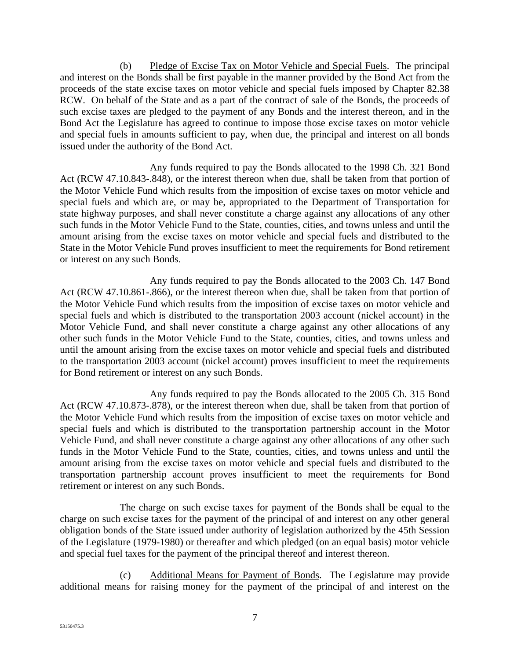(b) Pledge of Excise Tax on Motor Vehicle and Special Fuels. The principal and interest on the Bonds shall be first payable in the manner provided by the Bond Act from the proceeds of the state excise taxes on motor vehicle and special fuels imposed by Chapter 82.38 RCW. On behalf of the State and as a part of the contract of sale of the Bonds, the proceeds of such excise taxes are pledged to the payment of any Bonds and the interest thereon, and in the Bond Act the Legislature has agreed to continue to impose those excise taxes on motor vehicle and special fuels in amounts sufficient to pay, when due, the principal and interest on all bonds issued under the authority of the Bond Act.

Any funds required to pay the Bonds allocated to the 1998 Ch. 321 Bond Act (RCW 47.10.843-.848), or the interest thereon when due, shall be taken from that portion of the Motor Vehicle Fund which results from the imposition of excise taxes on motor vehicle and special fuels and which are, or may be, appropriated to the Department of Transportation for state highway purposes, and shall never constitute a charge against any allocations of any other such funds in the Motor Vehicle Fund to the State, counties, cities, and towns unless and until the amount arising from the excise taxes on motor vehicle and special fuels and distributed to the State in the Motor Vehicle Fund proves insufficient to meet the requirements for Bond retirement or interest on any such Bonds.

Any funds required to pay the Bonds allocated to the 2003 Ch. 147 Bond Act (RCW 47.10.861-.866), or the interest thereon when due, shall be taken from that portion of the Motor Vehicle Fund which results from the imposition of excise taxes on motor vehicle and special fuels and which is distributed to the transportation 2003 account (nickel account) in the Motor Vehicle Fund, and shall never constitute a charge against any other allocations of any other such funds in the Motor Vehicle Fund to the State, counties, cities, and towns unless and until the amount arising from the excise taxes on motor vehicle and special fuels and distributed to the transportation 2003 account (nickel account) proves insufficient to meet the requirements for Bond retirement or interest on any such Bonds.

Any funds required to pay the Bonds allocated to the 2005 Ch. 315 Bond Act (RCW 47.10.873-.878), or the interest thereon when due, shall be taken from that portion of the Motor Vehicle Fund which results from the imposition of excise taxes on motor vehicle and special fuels and which is distributed to the transportation partnership account in the Motor Vehicle Fund, and shall never constitute a charge against any other allocations of any other such funds in the Motor Vehicle Fund to the State, counties, cities, and towns unless and until the amount arising from the excise taxes on motor vehicle and special fuels and distributed to the transportation partnership account proves insufficient to meet the requirements for Bond retirement or interest on any such Bonds.

The charge on such excise taxes for payment of the Bonds shall be equal to the charge on such excise taxes for the payment of the principal of and interest on any other general obligation bonds of the State issued under authority of legislation authorized by the 45th Session of the Legislature (1979-1980) or thereafter and which pledged (on an equal basis) motor vehicle and special fuel taxes for the payment of the principal thereof and interest thereon.

(c) Additional Means for Payment of Bonds. The Legislature may provide additional means for raising money for the payment of the principal of and interest on the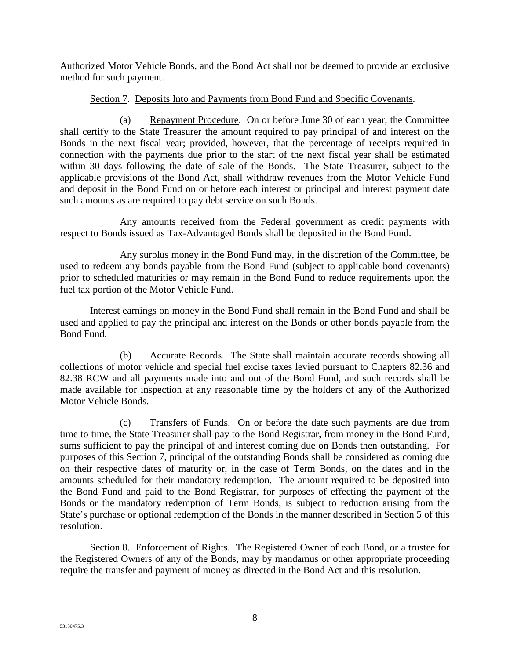Authorized Motor Vehicle Bonds, and the Bond Act shall not be deemed to provide an exclusive method for such payment.

## Section 7. Deposits Into and Payments from Bond Fund and Specific Covenants.

(a) Repayment Procedure. On or before June 30 of each year, the Committee shall certify to the State Treasurer the amount required to pay principal of and interest on the Bonds in the next fiscal year; provided, however, that the percentage of receipts required in connection with the payments due prior to the start of the next fiscal year shall be estimated within 30 days following the date of sale of the Bonds. The State Treasurer, subject to the applicable provisions of the Bond Act, shall withdraw revenues from the Motor Vehicle Fund and deposit in the Bond Fund on or before each interest or principal and interest payment date such amounts as are required to pay debt service on such Bonds.

Any amounts received from the Federal government as credit payments with respect to Bonds issued as Tax-Advantaged Bonds shall be deposited in the Bond Fund.

Any surplus money in the Bond Fund may, in the discretion of the Committee, be used to redeem any bonds payable from the Bond Fund (subject to applicable bond covenants) prior to scheduled maturities or may remain in the Bond Fund to reduce requirements upon the fuel tax portion of the Motor Vehicle Fund.

Interest earnings on money in the Bond Fund shall remain in the Bond Fund and shall be used and applied to pay the principal and interest on the Bonds or other bonds payable from the Bond Fund.

(b) Accurate Records. The State shall maintain accurate records showing all collections of motor vehicle and special fuel excise taxes levied pursuant to Chapters 82.36 and 82.38 RCW and all payments made into and out of the Bond Fund, and such records shall be made available for inspection at any reasonable time by the holders of any of the Authorized Motor Vehicle Bonds.

(c) Transfers of Funds. On or before the date such payments are due from time to time, the State Treasurer shall pay to the Bond Registrar, from money in the Bond Fund, sums sufficient to pay the principal of and interest coming due on Bonds then outstanding. For purposes of this Section 7, principal of the outstanding Bonds shall be considered as coming due on their respective dates of maturity or, in the case of Term Bonds, on the dates and in the amounts scheduled for their mandatory redemption. The amount required to be deposited into the Bond Fund and paid to the Bond Registrar, for purposes of effecting the payment of the Bonds or the mandatory redemption of Term Bonds, is subject to reduction arising from the State's purchase or optional redemption of the Bonds in the manner described in Section 5 of this resolution.

Section 8. Enforcement of Rights. The Registered Owner of each Bond, or a trustee for the Registered Owners of any of the Bonds, may by mandamus or other appropriate proceeding require the transfer and payment of money as directed in the Bond Act and this resolution.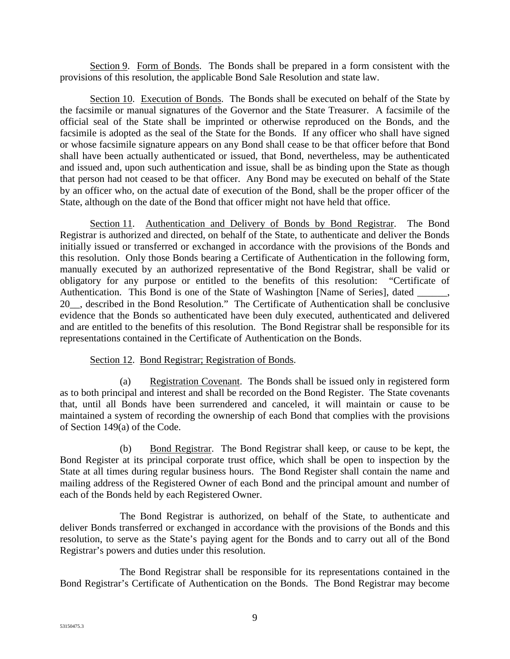Section 9. Form of Bonds. The Bonds shall be prepared in a form consistent with the provisions of this resolution, the applicable Bond Sale Resolution and state law.

Section 10. Execution of Bonds. The Bonds shall be executed on behalf of the State by the facsimile or manual signatures of the Governor and the State Treasurer. A facsimile of the official seal of the State shall be imprinted or otherwise reproduced on the Bonds, and the facsimile is adopted as the seal of the State for the Bonds. If any officer who shall have signed or whose facsimile signature appears on any Bond shall cease to be that officer before that Bond shall have been actually authenticated or issued, that Bond, nevertheless, may be authenticated and issued and, upon such authentication and issue, shall be as binding upon the State as though that person had not ceased to be that officer. Any Bond may be executed on behalf of the State by an officer who, on the actual date of execution of the Bond, shall be the proper officer of the State, although on the date of the Bond that officer might not have held that office.

Section 11. Authentication and Delivery of Bonds by Bond Registrar. The Bond Registrar is authorized and directed, on behalf of the State, to authenticate and deliver the Bonds initially issued or transferred or exchanged in accordance with the provisions of the Bonds and this resolution. Only those Bonds bearing a Certificate of Authentication in the following form, manually executed by an authorized representative of the Bond Registrar, shall be valid or obligatory for any purpose or entitled to the benefits of this resolution: "Certificate of Authentication. This Bond is one of the State of Washington [Name of Series], dated 20\_\_, described in the Bond Resolution." The Certificate of Authentication shall be conclusive evidence that the Bonds so authenticated have been duly executed, authenticated and delivered and are entitled to the benefits of this resolution. The Bond Registrar shall be responsible for its representations contained in the Certificate of Authentication on the Bonds.

#### Section 12. Bond Registrar; Registration of Bonds.

(a) Registration Covenant. The Bonds shall be issued only in registered form as to both principal and interest and shall be recorded on the Bond Register. The State covenants that, until all Bonds have been surrendered and canceled, it will maintain or cause to be maintained a system of recording the ownership of each Bond that complies with the provisions of Section 149(a) of the Code.

(b) Bond Registrar. The Bond Registrar shall keep, or cause to be kept, the Bond Register at its principal corporate trust office, which shall be open to inspection by the State at all times during regular business hours. The Bond Register shall contain the name and mailing address of the Registered Owner of each Bond and the principal amount and number of each of the Bonds held by each Registered Owner.

The Bond Registrar is authorized, on behalf of the State, to authenticate and deliver Bonds transferred or exchanged in accordance with the provisions of the Bonds and this resolution, to serve as the State's paying agent for the Bonds and to carry out all of the Bond Registrar's powers and duties under this resolution.

The Bond Registrar shall be responsible for its representations contained in the Bond Registrar's Certificate of Authentication on the Bonds. The Bond Registrar may become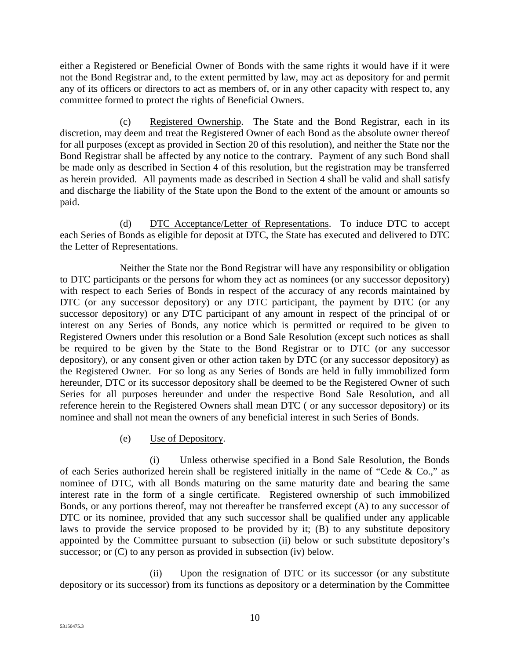either a Registered or Beneficial Owner of Bonds with the same rights it would have if it were not the Bond Registrar and, to the extent permitted by law, may act as depository for and permit any of its officers or directors to act as members of, or in any other capacity with respect to, any committee formed to protect the rights of Beneficial Owners.

(c) Registered Ownership. The State and the Bond Registrar, each in its discretion, may deem and treat the Registered Owner of each Bond as the absolute owner thereof for all purposes (except as provided in Section 20 of this resolution), and neither the State nor the Bond Registrar shall be affected by any notice to the contrary. Payment of any such Bond shall be made only as described in Section 4 of this resolution, but the registration may be transferred as herein provided. All payments made as described in Section 4 shall be valid and shall satisfy and discharge the liability of the State upon the Bond to the extent of the amount or amounts so paid.

(d) DTC Acceptance/Letter of Representations. To induce DTC to accept each Series of Bonds as eligible for deposit at DTC, the State has executed and delivered to DTC the Letter of Representations.

Neither the State nor the Bond Registrar will have any responsibility or obligation to DTC participants or the persons for whom they act as nominees (or any successor depository) with respect to each Series of Bonds in respect of the accuracy of any records maintained by DTC (or any successor depository) or any DTC participant, the payment by DTC (or any successor depository) or any DTC participant of any amount in respect of the principal of or interest on any Series of Bonds, any notice which is permitted or required to be given to Registered Owners under this resolution or a Bond Sale Resolution (except such notices as shall be required to be given by the State to the Bond Registrar or to DTC (or any successor depository), or any consent given or other action taken by DTC (or any successor depository) as the Registered Owner. For so long as any Series of Bonds are held in fully immobilized form hereunder, DTC or its successor depository shall be deemed to be the Registered Owner of such Series for all purposes hereunder and under the respective Bond Sale Resolution, and all reference herein to the Registered Owners shall mean DTC ( or any successor depository) or its nominee and shall not mean the owners of any beneficial interest in such Series of Bonds.

# (e) Use of Depository.

(i) Unless otherwise specified in a Bond Sale Resolution, the Bonds of each Series authorized herein shall be registered initially in the name of "Cede & Co.," as nominee of DTC, with all Bonds maturing on the same maturity date and bearing the same interest rate in the form of a single certificate. Registered ownership of such immobilized Bonds, or any portions thereof, may not thereafter be transferred except (A) to any successor of DTC or its nominee, provided that any such successor shall be qualified under any applicable laws to provide the service proposed to be provided by it; (B) to any substitute depository appointed by the Committee pursuant to subsection (ii) below or such substitute depository's successor; or  $(C)$  to any person as provided in subsection (iv) below.

(ii) Upon the resignation of DTC or its successor (or any substitute depository or its successor) from its functions as depository or a determination by the Committee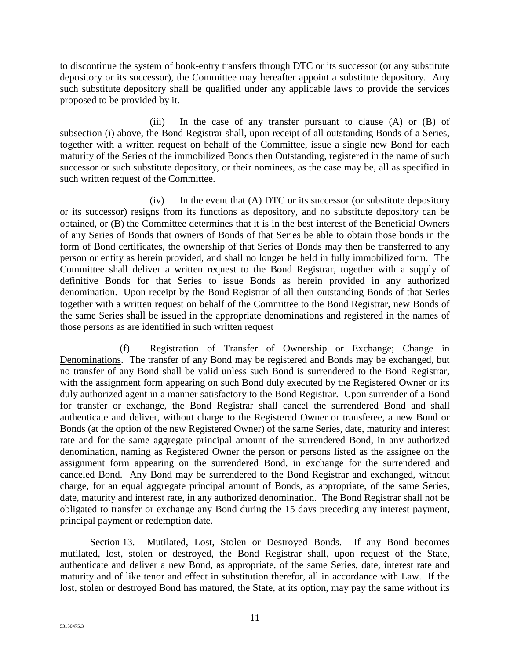to discontinue the system of book-entry transfers through DTC or its successor (or any substitute depository or its successor), the Committee may hereafter appoint a substitute depository. Any such substitute depository shall be qualified under any applicable laws to provide the services proposed to be provided by it.

(iii) In the case of any transfer pursuant to clause (A) or (B) of subsection (i) above, the Bond Registrar shall, upon receipt of all outstanding Bonds of a Series, together with a written request on behalf of the Committee, issue a single new Bond for each maturity of the Series of the immobilized Bonds then Outstanding, registered in the name of such successor or such substitute depository, or their nominees, as the case may be, all as specified in such written request of the Committee.

(iv) In the event that (A) DTC or its successor (or substitute depository or its successor) resigns from its functions as depository, and no substitute depository can be obtained, or (B) the Committee determines that it is in the best interest of the Beneficial Owners of any Series of Bonds that owners of Bonds of that Series be able to obtain those bonds in the form of Bond certificates, the ownership of that Series of Bonds may then be transferred to any person or entity as herein provided, and shall no longer be held in fully immobilized form. The Committee shall deliver a written request to the Bond Registrar, together with a supply of definitive Bonds for that Series to issue Bonds as herein provided in any authorized denomination. Upon receipt by the Bond Registrar of all then outstanding Bonds of that Series together with a written request on behalf of the Committee to the Bond Registrar, new Bonds of the same Series shall be issued in the appropriate denominations and registered in the names of those persons as are identified in such written request

(f) Registration of Transfer of Ownership or Exchange; Change in Denominations. The transfer of any Bond may be registered and Bonds may be exchanged, but no transfer of any Bond shall be valid unless such Bond is surrendered to the Bond Registrar, with the assignment form appearing on such Bond duly executed by the Registered Owner or its duly authorized agent in a manner satisfactory to the Bond Registrar. Upon surrender of a Bond for transfer or exchange, the Bond Registrar shall cancel the surrendered Bond and shall authenticate and deliver, without charge to the Registered Owner or transferee, a new Bond or Bonds (at the option of the new Registered Owner) of the same Series, date, maturity and interest rate and for the same aggregate principal amount of the surrendered Bond, in any authorized denomination, naming as Registered Owner the person or persons listed as the assignee on the assignment form appearing on the surrendered Bond, in exchange for the surrendered and canceled Bond. Any Bond may be surrendered to the Bond Registrar and exchanged, without charge, for an equal aggregate principal amount of Bonds, as appropriate, of the same Series, date, maturity and interest rate, in any authorized denomination. The Bond Registrar shall not be obligated to transfer or exchange any Bond during the 15 days preceding any interest payment, principal payment or redemption date.

Section 13. Mutilated, Lost, Stolen or Destroyed Bonds. If any Bond becomes mutilated, lost, stolen or destroyed, the Bond Registrar shall, upon request of the State, authenticate and deliver a new Bond, as appropriate, of the same Series, date, interest rate and maturity and of like tenor and effect in substitution therefor, all in accordance with Law. If the lost, stolen or destroyed Bond has matured, the State, at its option, may pay the same without its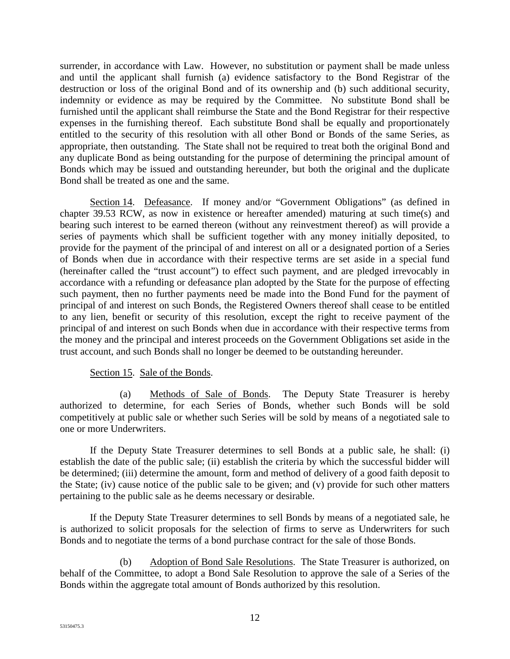surrender, in accordance with Law. However, no substitution or payment shall be made unless and until the applicant shall furnish (a) evidence satisfactory to the Bond Registrar of the destruction or loss of the original Bond and of its ownership and (b) such additional security, indemnity or evidence as may be required by the Committee. No substitute Bond shall be furnished until the applicant shall reimburse the State and the Bond Registrar for their respective expenses in the furnishing thereof. Each substitute Bond shall be equally and proportionately entitled to the security of this resolution with all other Bond or Bonds of the same Series, as appropriate, then outstanding. The State shall not be required to treat both the original Bond and any duplicate Bond as being outstanding for the purpose of determining the principal amount of Bonds which may be issued and outstanding hereunder, but both the original and the duplicate Bond shall be treated as one and the same.

Section 14. Defeasance. If money and/or "Government Obligations" (as defined in chapter 39.53 RCW, as now in existence or hereafter amended) maturing at such time(s) and bearing such interest to be earned thereon (without any reinvestment thereof) as will provide a series of payments which shall be sufficient together with any money initially deposited, to provide for the payment of the principal of and interest on all or a designated portion of a Series of Bonds when due in accordance with their respective terms are set aside in a special fund (hereinafter called the "trust account") to effect such payment, and are pledged irrevocably in accordance with a refunding or defeasance plan adopted by the State for the purpose of effecting such payment, then no further payments need be made into the Bond Fund for the payment of principal of and interest on such Bonds, the Registered Owners thereof shall cease to be entitled to any lien, benefit or security of this resolution, except the right to receive payment of the principal of and interest on such Bonds when due in accordance with their respective terms from the money and the principal and interest proceeds on the Government Obligations set aside in the trust account, and such Bonds shall no longer be deemed to be outstanding hereunder.

#### Section 15. Sale of the Bonds.

(a) Methods of Sale of Bonds. The Deputy State Treasurer is hereby authorized to determine, for each Series of Bonds, whether such Bonds will be sold competitively at public sale or whether such Series will be sold by means of a negotiated sale to one or more Underwriters.

If the Deputy State Treasurer determines to sell Bonds at a public sale, he shall: (i) establish the date of the public sale; (ii) establish the criteria by which the successful bidder will be determined; (iii) determine the amount, form and method of delivery of a good faith deposit to the State; (iv) cause notice of the public sale to be given; and (v) provide for such other matters pertaining to the public sale as he deems necessary or desirable.

If the Deputy State Treasurer determines to sell Bonds by means of a negotiated sale, he is authorized to solicit proposals for the selection of firms to serve as Underwriters for such Bonds and to negotiate the terms of a bond purchase contract for the sale of those Bonds.

(b) Adoption of Bond Sale Resolutions. The State Treasurer is authorized, on behalf of the Committee, to adopt a Bond Sale Resolution to approve the sale of a Series of the Bonds within the aggregate total amount of Bonds authorized by this resolution.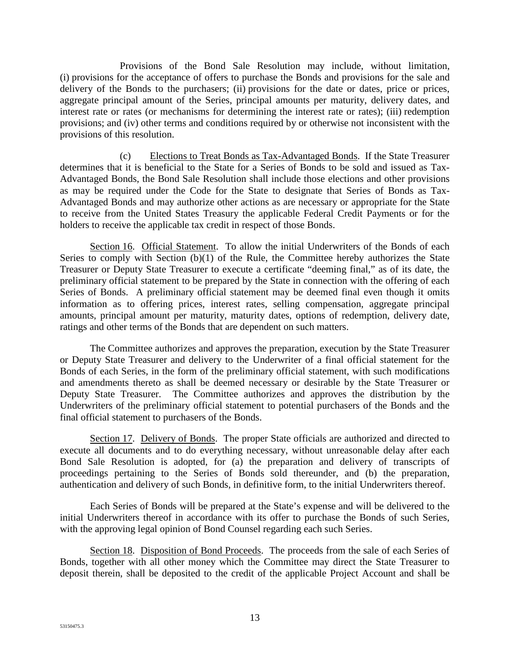Provisions of the Bond Sale Resolution may include, without limitation, (i) provisions for the acceptance of offers to purchase the Bonds and provisions for the sale and delivery of the Bonds to the purchasers; (ii) provisions for the date or dates, price or prices, aggregate principal amount of the Series, principal amounts per maturity, delivery dates, and interest rate or rates (or mechanisms for determining the interest rate or rates); (iii) redemption provisions; and (iv) other terms and conditions required by or otherwise not inconsistent with the provisions of this resolution.

(c) Elections to Treat Bonds as Tax-Advantaged Bonds. If the State Treasurer determines that it is beneficial to the State for a Series of Bonds to be sold and issued as Tax-Advantaged Bonds, the Bond Sale Resolution shall include those elections and other provisions as may be required under the Code for the State to designate that Series of Bonds as Tax-Advantaged Bonds and may authorize other actions as are necessary or appropriate for the State to receive from the United States Treasury the applicable Federal Credit Payments or for the holders to receive the applicable tax credit in respect of those Bonds.

Section 16. Official Statement. To allow the initial Underwriters of the Bonds of each Series to comply with Section (b)(1) of the Rule, the Committee hereby authorizes the State Treasurer or Deputy State Treasurer to execute a certificate "deeming final," as of its date, the preliminary official statement to be prepared by the State in connection with the offering of each Series of Bonds. A preliminary official statement may be deemed final even though it omits information as to offering prices, interest rates, selling compensation, aggregate principal amounts, principal amount per maturity, maturity dates, options of redemption, delivery date, ratings and other terms of the Bonds that are dependent on such matters.

The Committee authorizes and approves the preparation, execution by the State Treasurer or Deputy State Treasurer and delivery to the Underwriter of a final official statement for the Bonds of each Series, in the form of the preliminary official statement, with such modifications and amendments thereto as shall be deemed necessary or desirable by the State Treasurer or Deputy State Treasurer. The Committee authorizes and approves the distribution by the Underwriters of the preliminary official statement to potential purchasers of the Bonds and the final official statement to purchasers of the Bonds.

Section 17. Delivery of Bonds. The proper State officials are authorized and directed to execute all documents and to do everything necessary, without unreasonable delay after each Bond Sale Resolution is adopted, for (a) the preparation and delivery of transcripts of proceedings pertaining to the Series of Bonds sold thereunder, and (b) the preparation, authentication and delivery of such Bonds, in definitive form, to the initial Underwriters thereof.

Each Series of Bonds will be prepared at the State's expense and will be delivered to the initial Underwriters thereof in accordance with its offer to purchase the Bonds of such Series, with the approving legal opinion of Bond Counsel regarding each such Series.

Section 18. Disposition of Bond Proceeds. The proceeds from the sale of each Series of Bonds, together with all other money which the Committee may direct the State Treasurer to deposit therein, shall be deposited to the credit of the applicable Project Account and shall be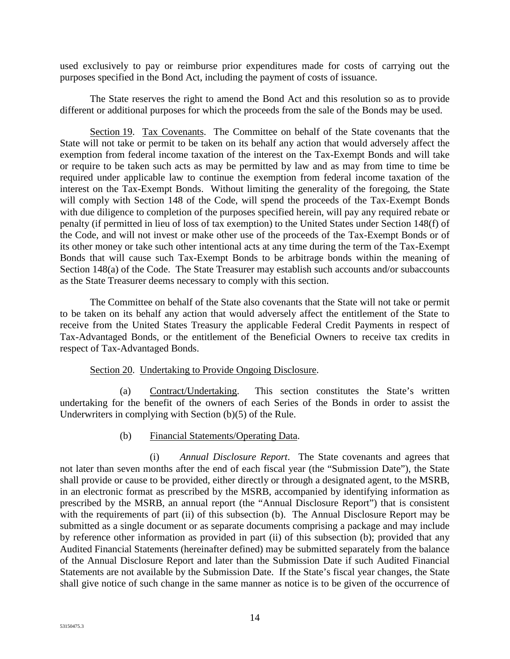used exclusively to pay or reimburse prior expenditures made for costs of carrying out the purposes specified in the Bond Act, including the payment of costs of issuance.

The State reserves the right to amend the Bond Act and this resolution so as to provide different or additional purposes for which the proceeds from the sale of the Bonds may be used.

Section 19. Tax Covenants. The Committee on behalf of the State covenants that the State will not take or permit to be taken on its behalf any action that would adversely affect the exemption from federal income taxation of the interest on the Tax-Exempt Bonds and will take or require to be taken such acts as may be permitted by law and as may from time to time be required under applicable law to continue the exemption from federal income taxation of the interest on the Tax-Exempt Bonds. Without limiting the generality of the foregoing, the State will comply with Section 148 of the Code, will spend the proceeds of the Tax-Exempt Bonds with due diligence to completion of the purposes specified herein, will pay any required rebate or penalty (if permitted in lieu of loss of tax exemption) to the United States under Section 148(f) of the Code, and will not invest or make other use of the proceeds of the Tax-Exempt Bonds or of its other money or take such other intentional acts at any time during the term of the Tax-Exempt Bonds that will cause such Tax-Exempt Bonds to be arbitrage bonds within the meaning of Section 148(a) of the Code. The State Treasurer may establish such accounts and/or subaccounts as the State Treasurer deems necessary to comply with this section.

The Committee on behalf of the State also covenants that the State will not take or permit to be taken on its behalf any action that would adversely affect the entitlement of the State to receive from the United States Treasury the applicable Federal Credit Payments in respect of Tax-Advantaged Bonds, or the entitlement of the Beneficial Owners to receive tax credits in respect of Tax-Advantaged Bonds.

#### Section 20. Undertaking to Provide Ongoing Disclosure.

(a) Contract/Undertaking. This section constitutes the State's written undertaking for the benefit of the owners of each Series of the Bonds in order to assist the Underwriters in complying with Section (b)(5) of the Rule.

#### (b) Financial Statements/Operating Data.

(i) *Annual Disclosure Report*. The State covenants and agrees that not later than seven months after the end of each fiscal year (the "Submission Date"), the State shall provide or cause to be provided, either directly or through a designated agent, to the MSRB, in an electronic format as prescribed by the MSRB, accompanied by identifying information as prescribed by the MSRB, an annual report (the "Annual Disclosure Report") that is consistent with the requirements of part (ii) of this subsection (b). The Annual Disclosure Report may be submitted as a single document or as separate documents comprising a package and may include by reference other information as provided in part (ii) of this subsection (b); provided that any Audited Financial Statements (hereinafter defined) may be submitted separately from the balance of the Annual Disclosure Report and later than the Submission Date if such Audited Financial Statements are not available by the Submission Date. If the State's fiscal year changes, the State shall give notice of such change in the same manner as notice is to be given of the occurrence of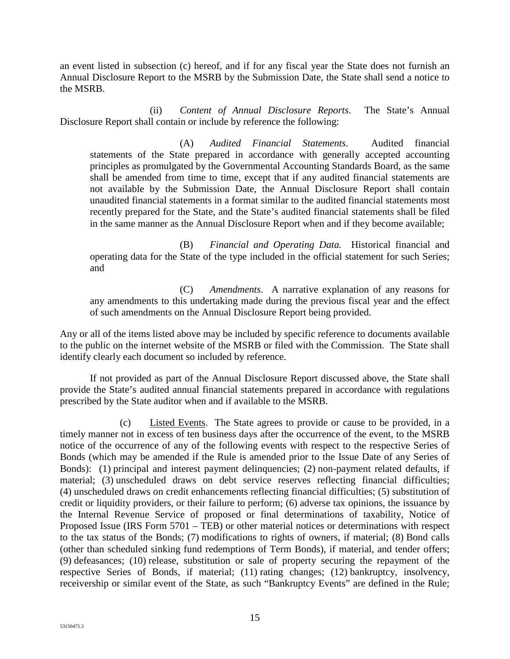an event listed in subsection (c) hereof, and if for any fiscal year the State does not furnish an Annual Disclosure Report to the MSRB by the Submission Date, the State shall send a notice to the MSRB.

(ii) *Content of Annual Disclosure Reports*. The State's Annual Disclosure Report shall contain or include by reference the following:

(A) *Audited Financial Statements*. Audited financial statements of the State prepared in accordance with generally accepted accounting principles as promulgated by the Governmental Accounting Standards Board, as the same shall be amended from time to time, except that if any audited financial statements are not available by the Submission Date, the Annual Disclosure Report shall contain unaudited financial statements in a format similar to the audited financial statements most recently prepared for the State, and the State's audited financial statements shall be filed in the same manner as the Annual Disclosure Report when and if they become available;

(B) *Financial and Operating Data.* Historical financial and operating data for the State of the type included in the official statement for such Series; and

(C) *Amendments*. A narrative explanation of any reasons for any amendments to this undertaking made during the previous fiscal year and the effect of such amendments on the Annual Disclosure Report being provided.

Any or all of the items listed above may be included by specific reference to documents available to the public on the internet website of the MSRB or filed with the Commission. The State shall identify clearly each document so included by reference.

If not provided as part of the Annual Disclosure Report discussed above, the State shall provide the State's audited annual financial statements prepared in accordance with regulations prescribed by the State auditor when and if available to the MSRB.

(c) Listed Events. The State agrees to provide or cause to be provided, in a timely manner not in excess of ten business days after the occurrence of the event, to the MSRB notice of the occurrence of any of the following events with respect to the respective Series of Bonds (which may be amended if the Rule is amended prior to the Issue Date of any Series of Bonds): (1) principal and interest payment delinquencies; (2) non-payment related defaults, if material; (3) unscheduled draws on debt service reserves reflecting financial difficulties; (4) unscheduled draws on credit enhancements reflecting financial difficulties; (5) substitution of credit or liquidity providers, or their failure to perform; (6) adverse tax opinions, the issuance by the Internal Revenue Service of proposed or final determinations of taxability, Notice of Proposed Issue (IRS Form 5701 – TEB) or other material notices or determinations with respect to the tax status of the Bonds; (7) modifications to rights of owners, if material; (8) Bond calls (other than scheduled sinking fund redemptions of Term Bonds), if material, and tender offers; (9) defeasances; (10) release, substitution or sale of property securing the repayment of the respective Series of Bonds, if material; (11) rating changes; (12) bankruptcy, insolvency, receivership or similar event of the State, as such "Bankruptcy Events" are defined in the Rule;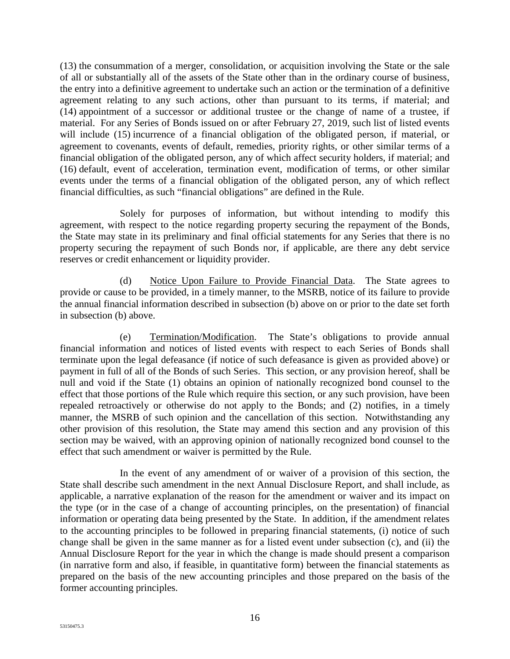(13) the consummation of a merger, consolidation, or acquisition involving the State or the sale of all or substantially all of the assets of the State other than in the ordinary course of business, the entry into a definitive agreement to undertake such an action or the termination of a definitive agreement relating to any such actions, other than pursuant to its terms, if material; and (14) appointment of a successor or additional trustee or the change of name of a trustee, if material. For any Series of Bonds issued on or after February 27, 2019, such list of listed events will include (15) incurrence of a financial obligation of the obligated person, if material, or agreement to covenants, events of default, remedies, priority rights, or other similar terms of a financial obligation of the obligated person, any of which affect security holders, if material; and (16) default, event of acceleration, termination event, modification of terms, or other similar events under the terms of a financial obligation of the obligated person, any of which reflect financial difficulties, as such "financial obligations" are defined in the Rule.

Solely for purposes of information, but without intending to modify this agreement, with respect to the notice regarding property securing the repayment of the Bonds, the State may state in its preliminary and final official statements for any Series that there is no property securing the repayment of such Bonds nor, if applicable, are there any debt service reserves or credit enhancement or liquidity provider.

(d) Notice Upon Failure to Provide Financial Data. The State agrees to provide or cause to be provided, in a timely manner, to the MSRB, notice of its failure to provide the annual financial information described in subsection (b) above on or prior to the date set forth in subsection (b) above.

(e) Termination/Modification. The State's obligations to provide annual financial information and notices of listed events with respect to each Series of Bonds shall terminate upon the legal defeasance (if notice of such defeasance is given as provided above) or payment in full of all of the Bonds of such Series. This section, or any provision hereof, shall be null and void if the State (1) obtains an opinion of nationally recognized bond counsel to the effect that those portions of the Rule which require this section, or any such provision, have been repealed retroactively or otherwise do not apply to the Bonds; and (2) notifies, in a timely manner, the MSRB of such opinion and the cancellation of this section. Notwithstanding any other provision of this resolution, the State may amend this section and any provision of this section may be waived, with an approving opinion of nationally recognized bond counsel to the effect that such amendment or waiver is permitted by the Rule.

In the event of any amendment of or waiver of a provision of this section, the State shall describe such amendment in the next Annual Disclosure Report, and shall include, as applicable, a narrative explanation of the reason for the amendment or waiver and its impact on the type (or in the case of a change of accounting principles, on the presentation) of financial information or operating data being presented by the State. In addition, if the amendment relates to the accounting principles to be followed in preparing financial statements, (i) notice of such change shall be given in the same manner as for a listed event under subsection (c), and (ii) the Annual Disclosure Report for the year in which the change is made should present a comparison (in narrative form and also, if feasible, in quantitative form) between the financial statements as prepared on the basis of the new accounting principles and those prepared on the basis of the former accounting principles.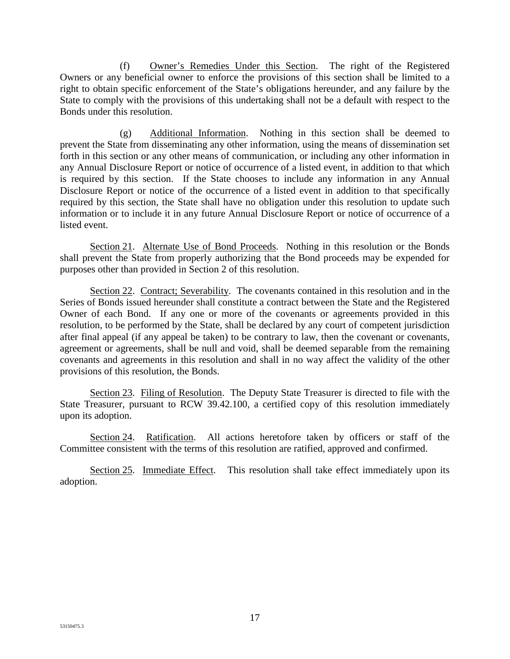(f) Owner's Remedies Under this Section. The right of the Registered Owners or any beneficial owner to enforce the provisions of this section shall be limited to a right to obtain specific enforcement of the State's obligations hereunder, and any failure by the State to comply with the provisions of this undertaking shall not be a default with respect to the Bonds under this resolution.

(g) Additional Information. Nothing in this section shall be deemed to prevent the State from disseminating any other information, using the means of dissemination set forth in this section or any other means of communication, or including any other information in any Annual Disclosure Report or notice of occurrence of a listed event, in addition to that which is required by this section. If the State chooses to include any information in any Annual Disclosure Report or notice of the occurrence of a listed event in addition to that specifically required by this section, the State shall have no obligation under this resolution to update such information or to include it in any future Annual Disclosure Report or notice of occurrence of a listed event.

Section 21. Alternate Use of Bond Proceeds. Nothing in this resolution or the Bonds shall prevent the State from properly authorizing that the Bond proceeds may be expended for purposes other than provided in Section 2 of this resolution.

Section 22. Contract; Severability. The covenants contained in this resolution and in the Series of Bonds issued hereunder shall constitute a contract between the State and the Registered Owner of each Bond. If any one or more of the covenants or agreements provided in this resolution, to be performed by the State, shall be declared by any court of competent jurisdiction after final appeal (if any appeal be taken) to be contrary to law, then the covenant or covenants, agreement or agreements, shall be null and void, shall be deemed separable from the remaining covenants and agreements in this resolution and shall in no way affect the validity of the other provisions of this resolution, the Bonds.

Section 23. Filing of Resolution. The Deputy State Treasurer is directed to file with the State Treasurer, pursuant to RCW 39.42.100, a certified copy of this resolution immediately upon its adoption.

Section 24. Ratification. All actions heretofore taken by officers or staff of the Committee consistent with the terms of this resolution are ratified, approved and confirmed.

Section 25. Immediate Effect. This resolution shall take effect immediately upon its adoption.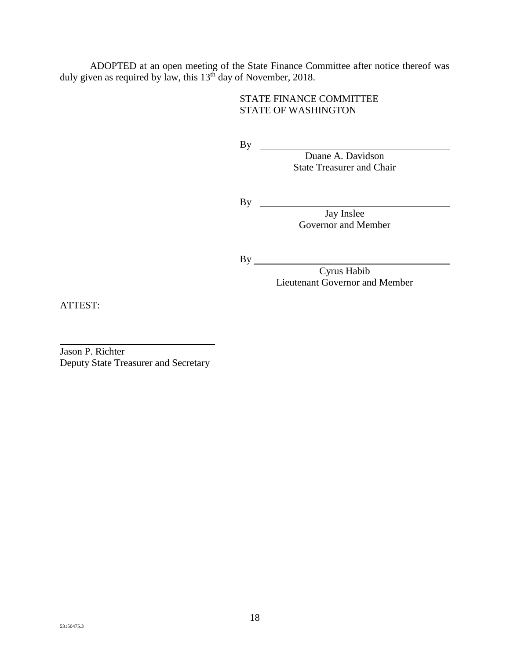ADOPTED at an open meeting of the State Finance Committee after notice thereof was duly given as required by law, this 13<sup>th</sup> day of November, 2018.

## STATE FINANCE COMMITTEE STATE OF WASHINGTON

By

Duane A. Davidson State Treasurer and Chair

By

Jay Inslee Governor and Member

By

Cyrus Habib Lieutenant Governor and Member

ATTEST:

 $\overline{a}$ Jason P. Richter Deputy State Treasurer and Secretary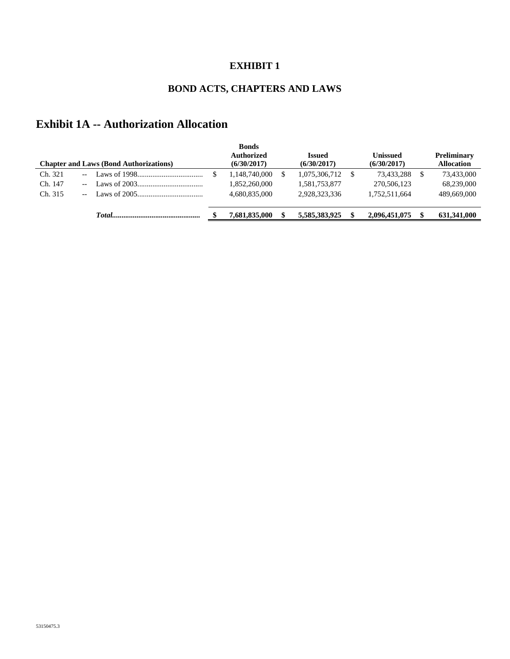# **EXHIBIT 1**

# **BOND ACTS, CHAPTERS AND LAWS**

# **Exhibit 1A -- Authorization Allocation**

|         | <b>Chapter and Laws (Bond Authorizations)</b>                                | <b>Bonds</b><br><b>Authorized</b><br>(6/30/2017) | Issued<br>(6/30/2017) | Unissued<br>(6/30/2017) | <b>Preliminary</b><br><b>Allocation</b> |
|---------|------------------------------------------------------------------------------|--------------------------------------------------|-----------------------|-------------------------|-----------------------------------------|
| Ch. 321 |                                                                              | 1,148,740,000                                    | 1,075,306,712         | 73,433,288              | 73,433,000                              |
| Ch. 147 |                                                                              | 1,852,260,000                                    | 1,581,753,877         | 270,506,123             | 68,239,000                              |
| Ch. 315 | $\text{Laws of } 2005 \dots \dots \dots \dots \dots \dots \dots \dots \dots$ | 4.680.835,000                                    | 2,928,323,336         | 1,752,511,664           | 489,669,000                             |
|         | Total <sub>d</sub>                                                           | 7.681.835,000                                    | 5,585,383,925         | 2,096,451,075           | 631,341,000                             |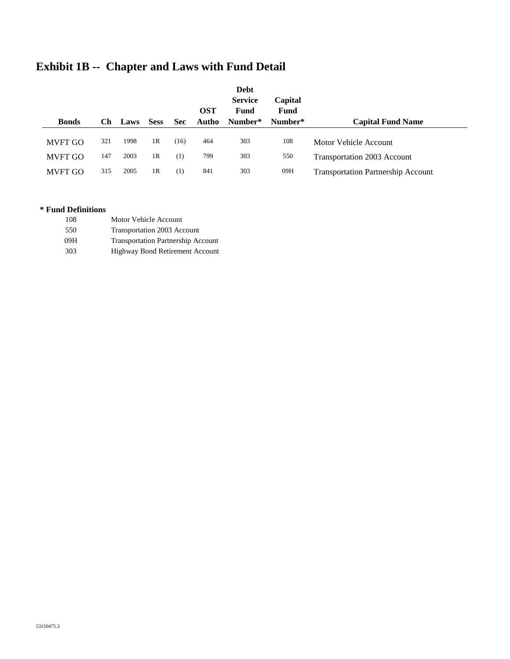|                |     |      |                |            | <b>OST</b> | <b>Debt</b><br><b>Service</b><br>Fund | Capital<br>Fund |                                           |
|----------------|-----|------|----------------|------------|------------|---------------------------------------|-----------------|-------------------------------------------|
| <b>Bonds</b>   | Сh  | Laws | <b>Sess</b>    | <b>Sec</b> | Autho      | Number*                               | Number*         | <b>Capital Fund Name</b>                  |
| <b>MVFT GO</b> | 321 | 1998 | 1R             | (16)       | 464        | 303                                   | 108             | Motor Vehicle Account                     |
| <b>MVFT GO</b> | 147 | 2003 | 1R             | (1)        | 799        | 303                                   | 550             | Transportation 2003 Account               |
| <b>MVFT GO</b> | 315 | 2005 | 1 <sub>R</sub> | (1)        | 841        | 303                                   | 09H             | <b>Transportation Partnership Account</b> |

# **Exhibit 1B -- Chapter and Laws with Fund Detail**

#### **\* Fund Definitions**

| 108 | Motor Vehicle Account |  |
|-----|-----------------------|--|
|     |                       |  |

550 Transportation 2003 Account

09H Transportation Partnership Account

303 Highway Bond Retirement Account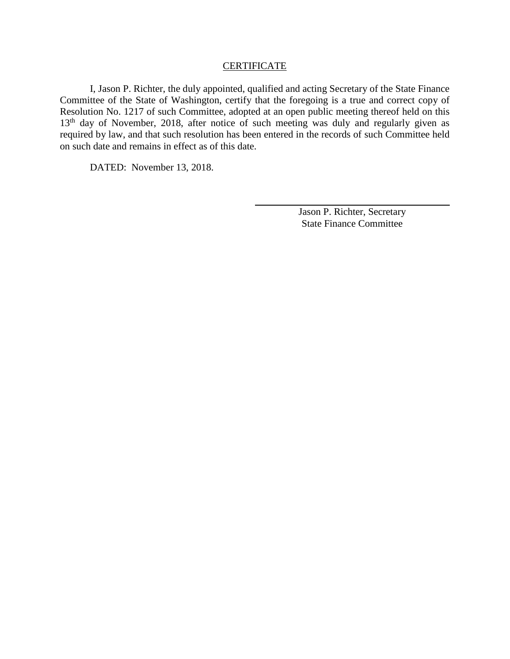#### **CERTIFICATE**

I, Jason P. Richter, the duly appointed, qualified and acting Secretary of the State Finance Committee of the State of Washington, certify that the foregoing is a true and correct copy of Resolution No. 1217 of such Committee, adopted at an open public meeting thereof held on this 13<sup>th</sup> day of November, 2018, after notice of such meeting was duly and regularly given as required by law, and that such resolution has been entered in the records of such Committee held on such date and remains in effect as of this date.

DATED: November 13, 2018.

Jason P. Richter, Secretary State Finance Committee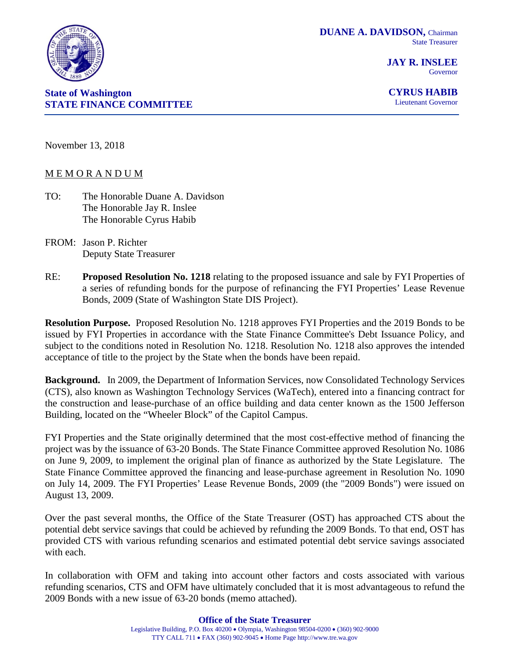

**JAY R. INSLEE** Governor



**CYRUS HABIB** Lieutenant Governor

November 13, 2018

#### M E M O R A N D U M

- TO: The Honorable Duane A. Davidson The Honorable Jay R. Inslee The Honorable Cyrus Habib
- FROM: Jason P. Richter Deputy State Treasurer
- RE: **Proposed Resolution No. 1218** relating to the proposed issuance and sale by FYI Properties of a series of refunding bonds for the purpose of refinancing the FYI Properties' Lease Revenue Bonds, 2009 (State of Washington State DIS Project).

**Resolution Purpose.** Proposed Resolution No. 1218 approves FYI Properties and the 2019 Bonds to be issued by FYI Properties in accordance with the State Finance Committee's Debt Issuance Policy, and subject to the conditions noted in Resolution No. 1218. Resolution No. 1218 also approves the intended acceptance of title to the project by the State when the bonds have been repaid.

**Background.** In 2009, the Department of Information Services, now Consolidated Technology Services (CTS), also known as Washington Technology Services (WaTech), entered into a financing contract for the construction and lease-purchase of an office building and data center known as the 1500 Jefferson Building, located on the "Wheeler Block" of the Capitol Campus.

FYI Properties and the State originally determined that the most cost-effective method of financing the project was by the issuance of 63-20 Bonds. The State Finance Committee approved Resolution No. 1086 on June 9, 2009, to implement the original plan of finance as authorized by the State Legislature. The State Finance Committee approved the financing and lease-purchase agreement in Resolution No. 1090 on July 14, 2009. The FYI Properties' Lease Revenue Bonds, 2009 (the "2009 Bonds") were issued on August 13, 2009.

Over the past several months, the Office of the State Treasurer (OST) has approached CTS about the potential debt service savings that could be achieved by refunding the 2009 Bonds. To that end, OST has provided CTS with various refunding scenarios and estimated potential debt service savings associated with each.

In collaboration with OFM and taking into account other factors and costs associated with various refunding scenarios, CTS and OFM have ultimately concluded that it is most advantageous to refund the 2009 Bonds with a new issue of 63-20 bonds (memo attached).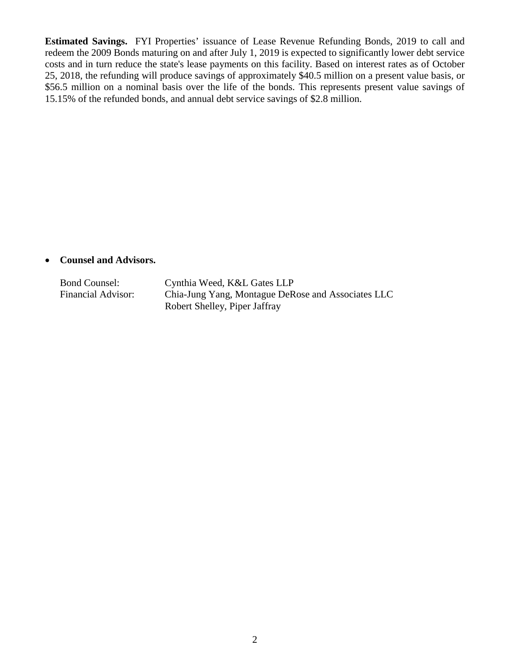**Estimated Savings.** FYI Properties' issuance of Lease Revenue Refunding Bonds, 2019 to call and redeem the 2009 Bonds maturing on and after July 1, 2019 is expected to significantly lower debt service costs and in turn reduce the state's lease payments on this facility. Based on interest rates as of October 25, 2018, the refunding will produce savings of approximately \$40.5 million on a present value basis, or \$56.5 million on a nominal basis over the life of the bonds. This represents present value savings of 15.15% of the refunded bonds, and annual debt service savings of \$2.8 million.

#### • **Counsel and Advisors.**

Bond Counsel: Cynthia Weed, K&L Gates LLP<br>Financial Advisor: Chia-Jung Yang, Montague DeR Chia-Jung Yang, Montague DeRose and Associates LLC Robert Shelley, Piper Jaffray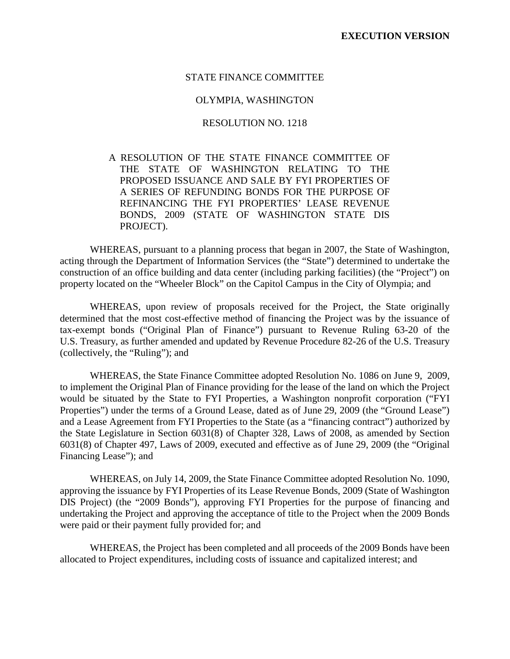#### STATE FINANCE COMMITTEE

#### OLYMPIA, WASHINGTON

#### RESOLUTION NO. 1218

## A RESOLUTION OF THE STATE FINANCE COMMITTEE OF THE STATE OF WASHINGTON RELATING TO THE PROPOSED ISSUANCE AND SALE BY FYI PROPERTIES OF A SERIES OF REFUNDING BONDS FOR THE PURPOSE OF REFINANCING THE FYI PROPERTIES' LEASE REVENUE BONDS, 2009 (STATE OF WASHINGTON STATE DIS PROJECT).

WHEREAS, pursuant to a planning process that began in 2007, the State of Washington, acting through the Department of Information Services (the "State") determined to undertake the construction of an office building and data center (including parking facilities) (the "Project") on property located on the "Wheeler Block" on the Capitol Campus in the City of Olympia; and

WHEREAS, upon review of proposals received for the Project, the State originally determined that the most cost-effective method of financing the Project was by the issuance of tax-exempt bonds ("Original Plan of Finance") pursuant to Revenue Ruling 63-20 of the U.S. Treasury, as further amended and updated by Revenue Procedure 82-26 of the U.S. Treasury (collectively, the "Ruling"); and

WHEREAS, the State Finance Committee adopted Resolution No. 1086 on June 9, 2009, to implement the Original Plan of Finance providing for the lease of the land on which the Project would be situated by the State to FYI Properties, a Washington nonprofit corporation ("FYI Properties") under the terms of a Ground Lease, dated as of June 29, 2009 (the "Ground Lease") and a Lease Agreement from FYI Properties to the State (as a "financing contract") authorized by the State Legislature in Section 6031(8) of Chapter 328, Laws of 2008, as amended by Section 6031(8) of Chapter 497, Laws of 2009, executed and effective as of June 29, 2009 (the "Original Financing Lease"); and

WHEREAS, on July 14, 2009, the State Finance Committee adopted Resolution No. 1090, approving the issuance by FYI Properties of its Lease Revenue Bonds, 2009 (State of Washington DIS Project) (the "2009 Bonds"), approving FYI Properties for the purpose of financing and undertaking the Project and approving the acceptance of title to the Project when the 2009 Bonds were paid or their payment fully provided for; and

WHEREAS, the Project has been completed and all proceeds of the 2009 Bonds have been allocated to Project expenditures, including costs of issuance and capitalized interest; and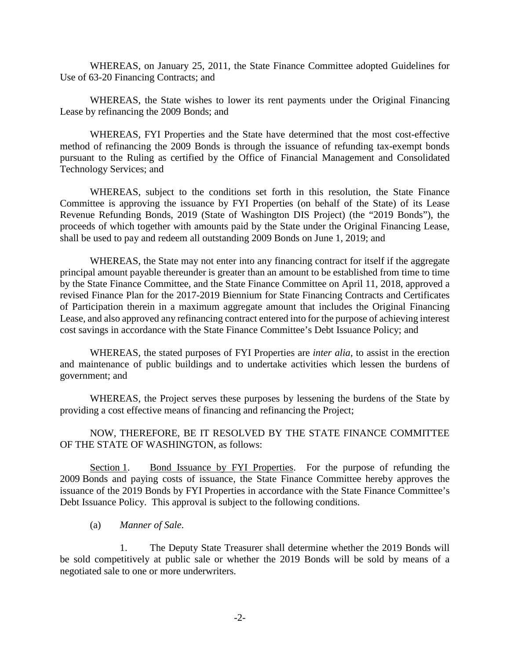WHEREAS, on January 25, 2011, the State Finance Committee adopted Guidelines for Use of 63-20 Financing Contracts; and

WHEREAS, the State wishes to lower its rent payments under the Original Financing Lease by refinancing the 2009 Bonds; and

WHEREAS, FYI Properties and the State have determined that the most cost-effective method of refinancing the 2009 Bonds is through the issuance of refunding tax-exempt bonds pursuant to the Ruling as certified by the Office of Financial Management and Consolidated Technology Services; and

WHEREAS, subject to the conditions set forth in this resolution, the State Finance Committee is approving the issuance by FYI Properties (on behalf of the State) of its Lease Revenue Refunding Bonds, 2019 (State of Washington DIS Project) (the "2019 Bonds"), the proceeds of which together with amounts paid by the State under the Original Financing Lease, shall be used to pay and redeem all outstanding 2009 Bonds on June 1, 2019; and

WHEREAS, the State may not enter into any financing contract for itself if the aggregate principal amount payable thereunder is greater than an amount to be established from time to time by the State Finance Committee, and the State Finance Committee on April 11, 2018, approved a revised Finance Plan for the 2017-2019 Biennium for State Financing Contracts and Certificates of Participation therein in a maximum aggregate amount that includes the Original Financing Lease, and also approved any refinancing contract entered into for the purpose of achieving interest cost savings in accordance with the State Finance Committee's Debt Issuance Policy; and

WHEREAS, the stated purposes of FYI Properties are *inter alia*, to assist in the erection and maintenance of public buildings and to undertake activities which lessen the burdens of government; and

WHEREAS, the Project serves these purposes by lessening the burdens of the State by providing a cost effective means of financing and refinancing the Project;

NOW, THEREFORE, BE IT RESOLVED BY THE STATE FINANCE COMMITTEE OF THE STATE OF WASHINGTON, as follows:

Section 1. Bond Issuance by FYI Properties. For the purpose of refunding the 2009 Bonds and paying costs of issuance, the State Finance Committee hereby approves the issuance of the 2019 Bonds by FYI Properties in accordance with the State Finance Committee's Debt Issuance Policy. This approval is subject to the following conditions.

(a) *Manner of Sale*.

1. The Deputy State Treasurer shall determine whether the 2019 Bonds will be sold competitively at public sale or whether the 2019 Bonds will be sold by means of a negotiated sale to one or more underwriters.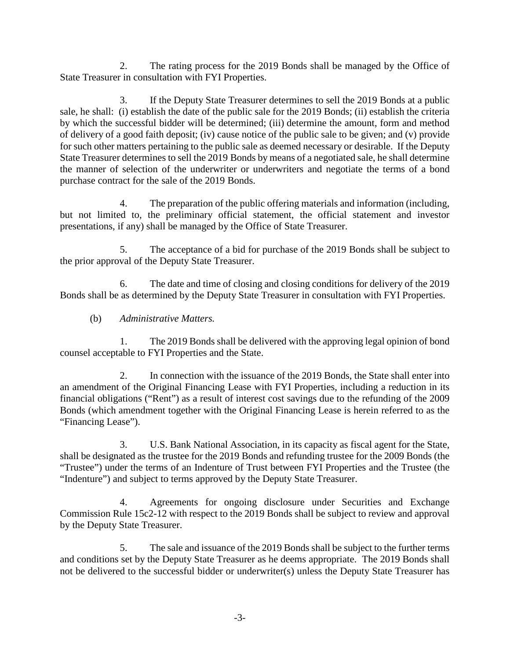2. The rating process for the 2019 Bonds shall be managed by the Office of State Treasurer in consultation with FYI Properties.

3. If the Deputy State Treasurer determines to sell the 2019 Bonds at a public sale, he shall: (i) establish the date of the public sale for the 2019 Bonds; (ii) establish the criteria by which the successful bidder will be determined; (iii) determine the amount, form and method of delivery of a good faith deposit; (iv) cause notice of the public sale to be given; and (v) provide for such other matters pertaining to the public sale as deemed necessary or desirable. If the Deputy State Treasurer determines to sell the 2019 Bonds by means of a negotiated sale, he shall determine the manner of selection of the underwriter or underwriters and negotiate the terms of a bond purchase contract for the sale of the 2019 Bonds.

4. The preparation of the public offering materials and information (including, but not limited to, the preliminary official statement, the official statement and investor presentations, if any) shall be managed by the Office of State Treasurer.

5. The acceptance of a bid for purchase of the 2019 Bonds shall be subject to the prior approval of the Deputy State Treasurer.

6. The date and time of closing and closing conditions for delivery of the 2019 Bonds shall be as determined by the Deputy State Treasurer in consultation with FYI Properties.

(b) *Administrative Matters.*

1. The 2019 Bonds shall be delivered with the approving legal opinion of bond counsel acceptable to FYI Properties and the State.

2. In connection with the issuance of the 2019 Bonds, the State shall enter into an amendment of the Original Financing Lease with FYI Properties, including a reduction in its financial obligations ("Rent") as a result of interest cost savings due to the refunding of the 2009 Bonds (which amendment together with the Original Financing Lease is herein referred to as the "Financing Lease").

3. U.S. Bank National Association, in its capacity as fiscal agent for the State, shall be designated as the trustee for the 2019 Bonds and refunding trustee for the 2009 Bonds (the "Trustee") under the terms of an Indenture of Trust between FYI Properties and the Trustee (the "Indenture") and subject to terms approved by the Deputy State Treasurer.

4. Agreements for ongoing disclosure under Securities and Exchange Commission Rule 15c2-12 with respect to the 2019 Bonds shall be subject to review and approval by the Deputy State Treasurer.

5. The sale and issuance of the 2019 Bonds shall be subject to the further terms and conditions set by the Deputy State Treasurer as he deems appropriate. The 2019 Bonds shall not be delivered to the successful bidder or underwriter(s) unless the Deputy State Treasurer has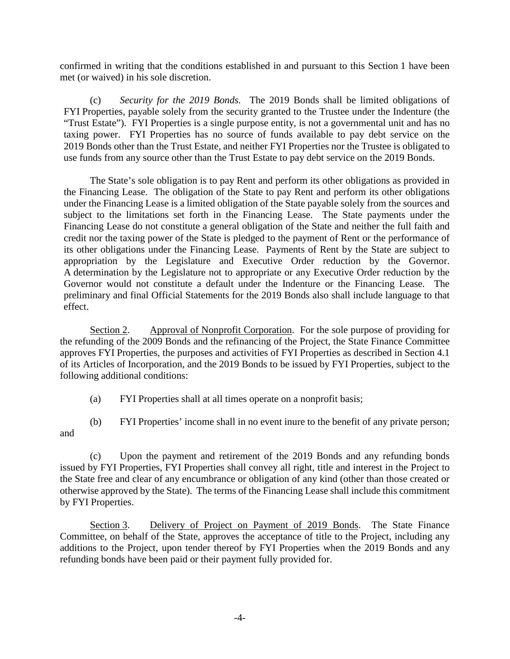confirmed in writing that the conditions established in and pursuant to this Section 1 have been met (or waived) in his sole discretion.

(c) *Security for the 2019 Bonds.* The 2019 Bonds shall be limited obligations of FYI Properties, payable solely from the security granted to the Trustee under the Indenture (the "Trust Estate"). FYI Properties is a single purpose entity, is not a governmental unit and has no taxing power. FYI Properties has no source of funds available to pay debt service on the 2019 Bonds other than the Trust Estate, and neither FYI Properties nor the Trustee is obligated to use funds from any source other than the Trust Estate to pay debt service on the 2019 Bonds.

The State's sole obligation is to pay Rent and perform its other obligations as provided in the Financing Lease. The obligation of the State to pay Rent and perform its other obligations under the Financing Lease is a limited obligation of the State payable solely from the sources and subject to the limitations set forth in the Financing Lease. The State payments under the Financing Lease do not constitute a general obligation of the State and neither the full faith and credit nor the taxing power of the State is pledged to the payment of Rent or the performance of its other obligations under the Financing Lease. Payments of Rent by the State are subject to appropriation by the Legislature and Executive Order reduction by the Governor. A determination by the Legislature not to appropriate or any Executive Order reduction by the Governor would not constitute a default under the Indenture or the Financing Lease. The preliminary and final Official Statements for the 2019 Bonds also shall include language to that effect.

Section 2. Approval of Nonprofit Corporation. For the sole purpose of providing for the refunding of the 2009 Bonds and the refinancing of the Project, the State Finance Committee approves FYI Properties, the purposes and activities of FYI Properties as described in Section 4.1 of its Articles of Incorporation, and the 2019 Bonds to be issued by FYI Properties, subject to the following additional conditions:

(a) FYI Properties shall at all times operate on a nonprofit basis;

(b) FYI Properties' income shall in no event inure to the benefit of any private person; and

(c) Upon the payment and retirement of the 2019 Bonds and any refunding bonds issued by FYI Properties, FYI Properties shall convey all right, title and interest in the Project to the State free and clear of any encumbrance or obligation of any kind (other than those created or otherwise approved by the State). The terms of the Financing Lease shall include this commitment by FYI Properties.

Section 3. Delivery of Project on Payment of 2019 Bonds. The State Finance Committee, on behalf of the State, approves the acceptance of title to the Project, including any additions to the Project, upon tender thereof by FYI Properties when the 2019 Bonds and any refunding bonds have been paid or their payment fully provided for.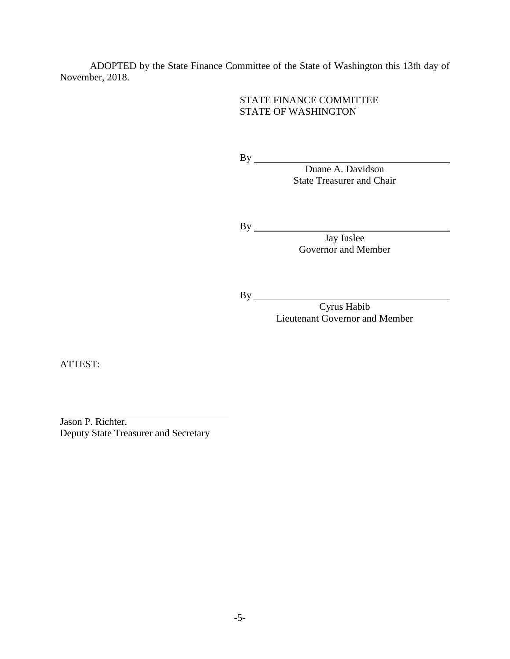ADOPTED by the State Finance Committee of the State of Washington this 13th day of November, 2018.

### STATE FINANCE COMMITTEE STATE OF WASHINGTON

By Duane A. Davidson State Treasurer and Chair

By

Jay Inslee Governor and Member

By

Cyrus Habib Lieutenant Governor and Member

ATTEST:

Jason P. Richter, Deputy State Treasurer and Secretary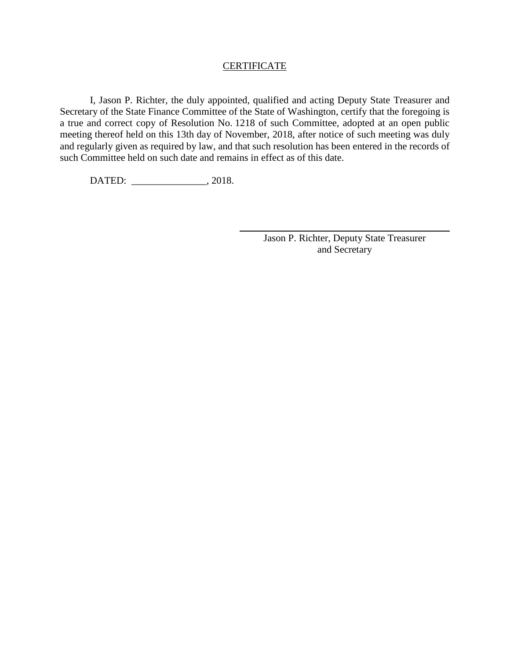#### **CERTIFICATE**

I, Jason P. Richter, the duly appointed, qualified and acting Deputy State Treasurer and Secretary of the State Finance Committee of the State of Washington, certify that the foregoing is a true and correct copy of Resolution No. 1218 of such Committee, adopted at an open public meeting thereof held on this 13th day of November, 2018, after notice of such meeting was duly and regularly given as required by law, and that such resolution has been entered in the records of such Committee held on such date and remains in effect as of this date.

DATED: \_\_\_\_\_\_\_\_\_\_\_\_\_\_\_, 2018.

Jason P. Richter, Deputy State Treasurer and Secretary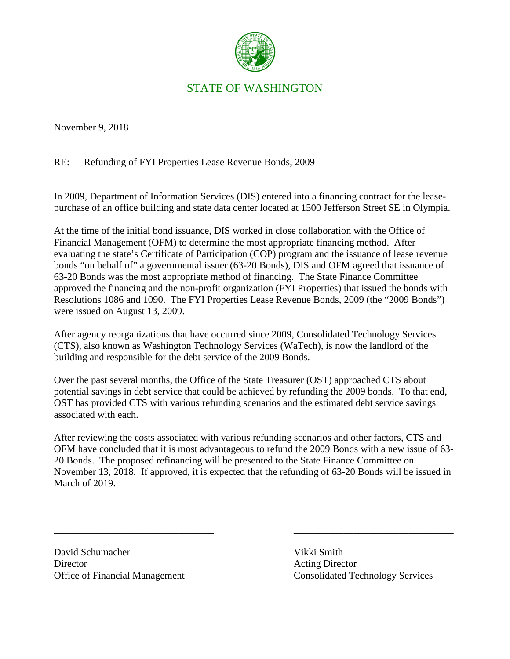

# STATE OF WASHINGTON

November 9, 2018

RE: Refunding of FYI Properties Lease Revenue Bonds, 2009

In 2009, Department of Information Services (DIS) entered into a financing contract for the leasepurchase of an office building and state data center located at 1500 Jefferson Street SE in Olympia.

At the time of the initial bond issuance, DIS worked in close collaboration with the Office of Financial Management (OFM) to determine the most appropriate financing method. After evaluating the state's Certificate of Participation (COP) program and the issuance of lease revenue bonds "on behalf of" a governmental issuer (63-20 Bonds), DIS and OFM agreed that issuance of 63-20 Bonds was the most appropriate method of financing. The State Finance Committee approved the financing and the non-profit organization (FYI Properties) that issued the bonds with Resolutions 1086 and 1090. The FYI Properties Lease Revenue Bonds, 2009 (the "2009 Bonds") were issued on August 13, 2009.

After agency reorganizations that have occurred since 2009, Consolidated Technology Services (CTS), also known as Washington Technology Services (WaTech), is now the landlord of the building and responsible for the debt service of the 2009 Bonds.

Over the past several months, the Office of the State Treasurer (OST) approached CTS about potential savings in debt service that could be achieved by refunding the 2009 bonds. To that end, OST has provided CTS with various refunding scenarios and the estimated debt service savings associated with each.

After reviewing the costs associated with various refunding scenarios and other factors, CTS and OFM have concluded that it is most advantageous to refund the 2009 Bonds with a new issue of 63- 20 Bonds. The proposed refinancing will be presented to the State Finance Committee on November 13, 2018. If approved, it is expected that the refunding of 63-20 Bonds will be issued in March of 2019.

\_\_\_\_\_\_\_\_\_\_\_\_\_\_\_\_\_\_\_\_\_\_\_\_\_\_\_\_\_\_\_\_ \_\_\_\_\_\_\_\_\_\_\_\_\_\_\_\_\_\_\_\_\_\_\_\_\_\_\_\_\_\_\_\_

David Schumacher Vikki Smith Director Acting Director

Office of Financial Management Consolidated Technology Services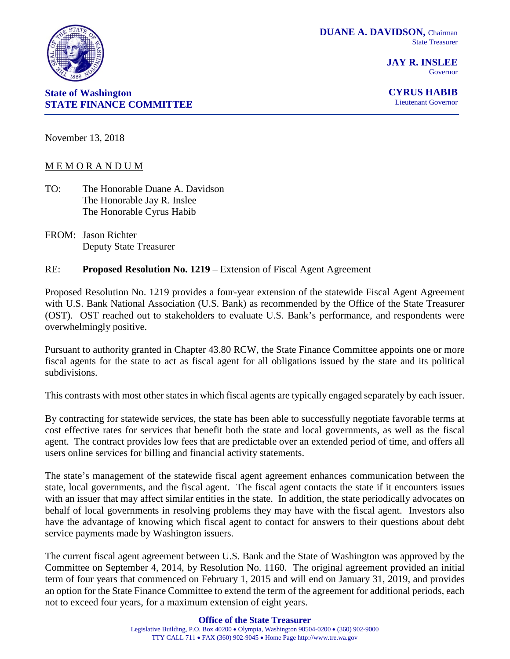

**JAY R. INSLEE** Governor



**CYRUS HABIB** Lieutenant Governor

November 13, 2018

# M E M O R A N D U M

- TO: The Honorable Duane A. Davidson The Honorable Jay R. Inslee The Honorable Cyrus Habib
- FROM: Jason Richter Deputy State Treasurer

# RE: **Proposed Resolution No. 1219** – Extension of Fiscal Agent Agreement

Proposed Resolution No. 1219 provides a four-year extension of the statewide Fiscal Agent Agreement with U.S. Bank National Association (U.S. Bank) as recommended by the Office of the State Treasurer (OST). OST reached out to stakeholders to evaluate U.S. Bank's performance, and respondents were overwhelmingly positive.

Pursuant to authority granted in Chapter 43.80 RCW, the State Finance Committee appoints one or more fiscal agents for the state to act as fiscal agent for all obligations issued by the state and its political subdivisions.

This contrasts with most other states in which fiscal agents are typically engaged separately by each issuer.

By contracting for statewide services, the state has been able to successfully negotiate favorable terms at cost effective rates for services that benefit both the state and local governments, as well as the fiscal agent. The contract provides low fees that are predictable over an extended period of time, and offers all users online services for billing and financial activity statements.

The state's management of the statewide fiscal agent agreement enhances communication between the state, local governments, and the fiscal agent. The fiscal agent contacts the state if it encounters issues with an issuer that may affect similar entities in the state. In addition, the state periodically advocates on behalf of local governments in resolving problems they may have with the fiscal agent. Investors also have the advantage of knowing which fiscal agent to contact for answers to their questions about debt service payments made by Washington issuers.

The current fiscal agent agreement between U.S. Bank and the State of Washington was approved by the Committee on September 4, 2014, by Resolution No. 1160. The original agreement provided an initial term of four years that commenced on February 1, 2015 and will end on January 31, 2019, and provides an option for the State Finance Committee to extend the term of the agreement for additional periods, each not to exceed four years, for a maximum extension of eight years.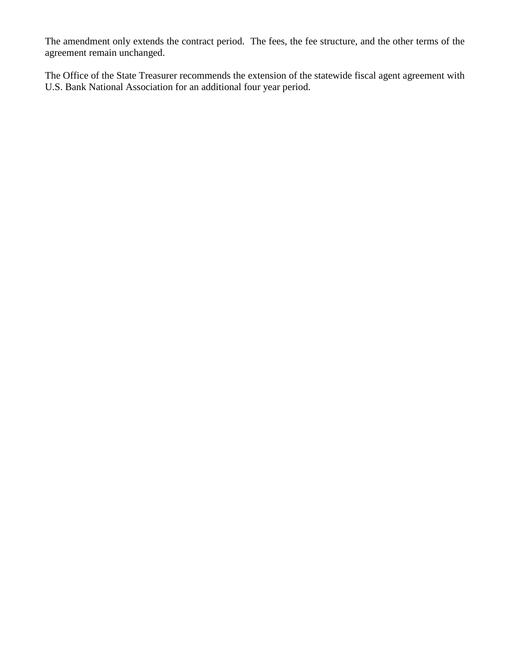The amendment only extends the contract period. The fees, the fee structure, and the other terms of the agreement remain unchanged.

The Office of the State Treasurer recommends the extension of the statewide fiscal agent agreement with U.S. Bank National Association for an additional four year period.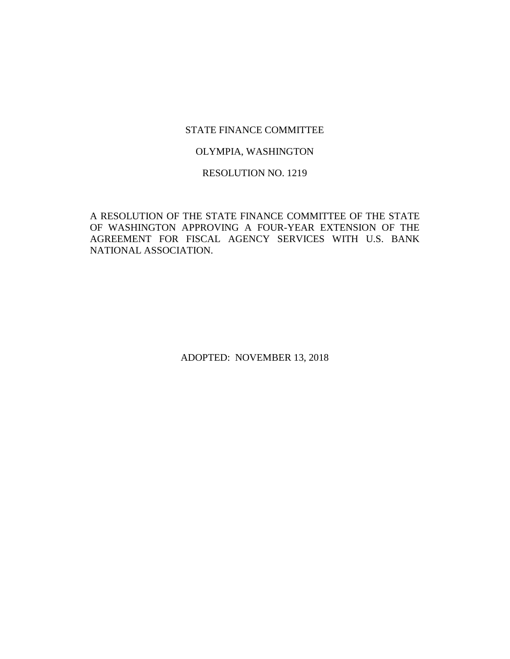#### STATE FINANCE COMMITTEE

#### OLYMPIA, WASHINGTON

#### RESOLUTION NO. 1219

A RESOLUTION OF THE STATE FINANCE COMMITTEE OF THE STATE OF WASHINGTON APPROVING A FOUR-YEAR EXTENSION OF THE AGREEMENT FOR FISCAL AGENCY SERVICES WITH U.S. BANK NATIONAL ASSOCIATION.

ADOPTED: NOVEMBER 13, 2018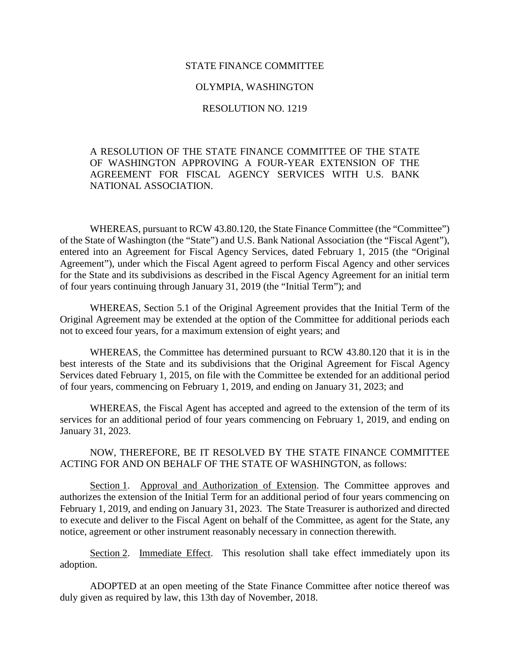#### STATE FINANCE COMMITTEE

#### OLYMPIA, WASHINGTON

#### RESOLUTION NO. 1219

## A RESOLUTION OF THE STATE FINANCE COMMITTEE OF THE STATE OF WASHINGTON APPROVING A FOUR-YEAR EXTENSION OF THE AGREEMENT FOR FISCAL AGENCY SERVICES WITH U.S. BANK NATIONAL ASSOCIATION.

WHEREAS, pursuant to RCW 43.80.120, the State Finance Committee (the "Committee") of the State of Washington (the "State") and U.S. Bank National Association (the "Fiscal Agent"), entered into an Agreement for Fiscal Agency Services, dated February 1, 2015 (the "Original Agreement"), under which the Fiscal Agent agreed to perform Fiscal Agency and other services for the State and its subdivisions as described in the Fiscal Agency Agreement for an initial term of four years continuing through January 31, 2019 (the "Initial Term"); and

WHEREAS, Section 5.1 of the Original Agreement provides that the Initial Term of the Original Agreement may be extended at the option of the Committee for additional periods each not to exceed four years, for a maximum extension of eight years; and

WHEREAS, the Committee has determined pursuant to RCW 43.80.120 that it is in the best interests of the State and its subdivisions that the Original Agreement for Fiscal Agency Services dated February 1, 2015, on file with the Committee be extended for an additional period of four years, commencing on February 1, 2019, and ending on January 31, 2023; and

WHEREAS, the Fiscal Agent has accepted and agreed to the extension of the term of its services for an additional period of four years commencing on February 1, 2019, and ending on January 31, 2023.

## NOW, THEREFORE, BE IT RESOLVED BY THE STATE FINANCE COMMITTEE ACTING FOR AND ON BEHALF OF THE STATE OF WASHINGTON, as follows:

Section 1. Approval and Authorization of Extension. The Committee approves and authorizes the extension of the Initial Term for an additional period of four years commencing on February 1, 2019, and ending on January 31, 2023. The State Treasurer is authorized and directed to execute and deliver to the Fiscal Agent on behalf of the Committee, as agent for the State, any notice, agreement or other instrument reasonably necessary in connection therewith.

Section 2. Immediate Effect. This resolution shall take effect immediately upon its adoption.

ADOPTED at an open meeting of the State Finance Committee after notice thereof was duly given as required by law, this 13th day of November, 2018.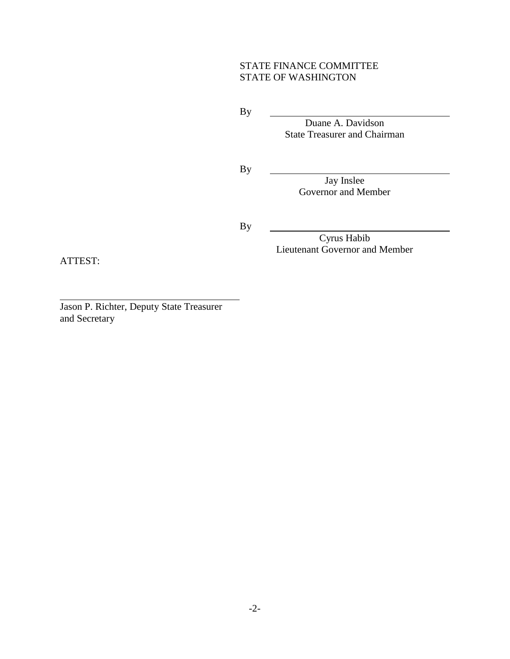## STATE FINANCE COMMITTEE STATE OF WASHINGTON

By

Duane A. Davidson State Treasurer and Chairman

By

Jay Inslee Governor and Member

By

Cyrus Habib Lieutenant Governor and Member

ATTEST:

Jason P. Richter, Deputy State Treasurer and Secretary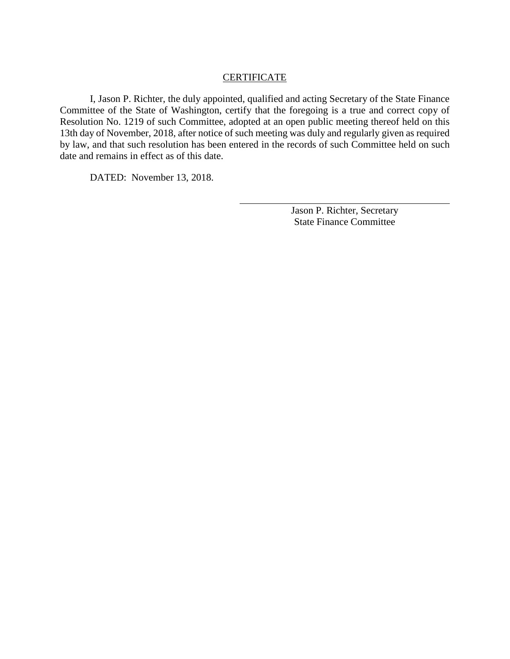#### **CERTIFICATE**

I, Jason P. Richter, the duly appointed, qualified and acting Secretary of the State Finance Committee of the State of Washington, certify that the foregoing is a true and correct copy of Resolution No. 1219 of such Committee, adopted at an open public meeting thereof held on this 13th day of November, 2018, after notice of such meeting was duly and regularly given as required by law, and that such resolution has been entered in the records of such Committee held on such date and remains in effect as of this date.

DATED: November 13, 2018.

Jason P. Richter, Secretary State Finance Committee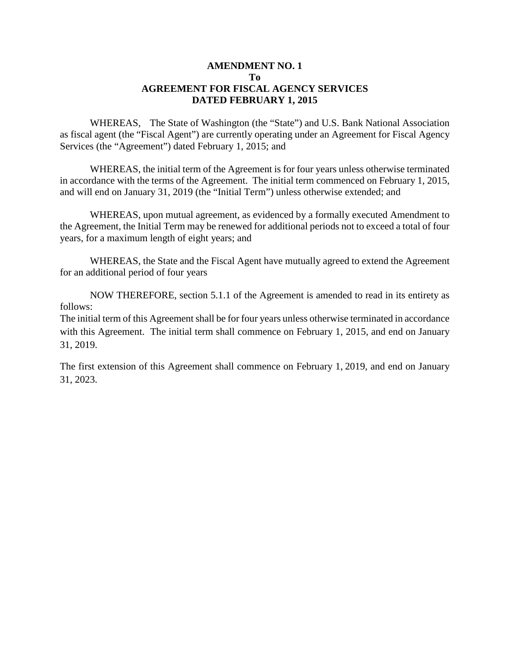#### **AMENDMENT NO. 1 To AGREEMENT FOR FISCAL AGENCY SERVICES DATED FEBRUARY 1, 2015**

WHEREAS, The State of Washington (the "State") and U.S. Bank National Association as fiscal agent (the "Fiscal Agent") are currently operating under an Agreement for Fiscal Agency Services (the "Agreement") dated February 1, 2015; and

WHEREAS, the initial term of the Agreement is for four years unless otherwise terminated in accordance with the terms of the Agreement. The initial term commenced on February 1, 2015, and will end on January 31, 2019 (the "Initial Term") unless otherwise extended; and

WHEREAS, upon mutual agreement, as evidenced by a formally executed Amendment to the Agreement, the Initial Term may be renewed for additional periods not to exceed a total of four years, for a maximum length of eight years; and

WHEREAS, the State and the Fiscal Agent have mutually agreed to extend the Agreement for an additional period of four years

NOW THEREFORE, section 5.1.1 of the Agreement is amended to read in its entirety as follows:

The initial term of this Agreement shall be for four years unless otherwise terminated in accordance with this Agreement. The initial term shall commence on February 1, 2015, and end on January 31, 2019.

The first extension of this Agreement shall commence on February 1, 2019, and end on January 31, 2023.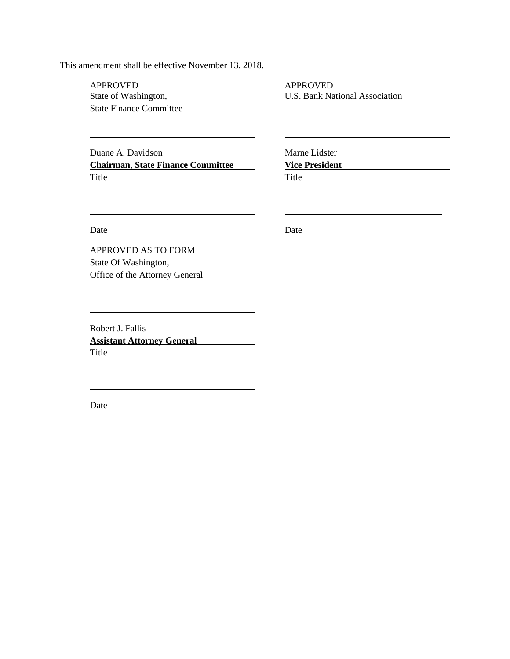This amendment shall be effective November 13, 2018.

APPROVED<br>State of Washington, The Contract of Washington, The Contract of Washington, The Contract of Washington, The Co State Finance Committee

Duane A. Davidson Marne Lidster **Chairman, State Finance Committee Vice President** Title Title

U.S. Bank National Association

Date Date Date

State Of Washington, Office of the Attorney General

APPROVED AS TO FORM

Robert J. Fallis **Assistant Attorney General** Title

Date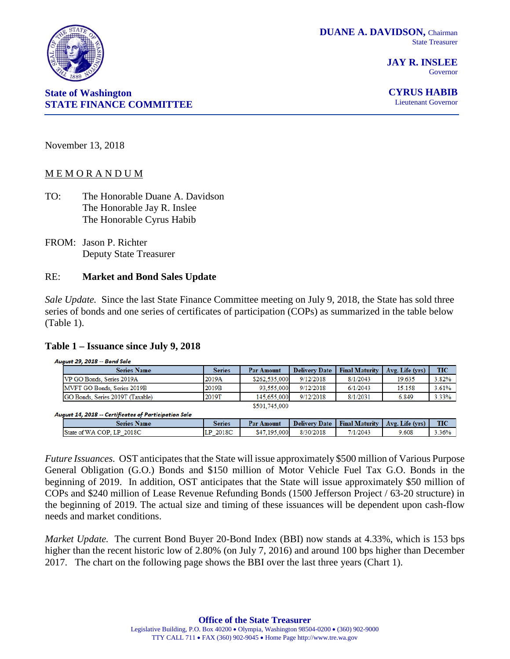

**JAY R. INSLEE** Governor

**CYRUS HABIB**

Lieutenant Governor

November 13, 2018

**State of Washington**

#### M E M O R A N D U M

- TO: The Honorable Duane A. Davidson The Honorable Jay R. Inslee The Honorable Cyrus Habib
- FROM: Jason P. Richter Deputy State Treasurer

#### RE: **Market and Bond Sales Update**

*Sale Update.* Since the last State Finance Committee meeting on July 9, 2018, the State has sold three series of bonds and one series of certificates of participation (COPs) as summarized in the table below (Table 1).

#### **Table 1 – Issuance since July 9, 2018**

| August 29, 2018 -- Bond Sale     |               |                   |                      |                       |                 |            |  |  |  |  |  |
|----------------------------------|---------------|-------------------|----------------------|-----------------------|-----------------|------------|--|--|--|--|--|
| <b>Series Name</b>               | <b>Series</b> | <b>Par Amount</b> | <b>Delivery Date</b> | <b>Final Maturity</b> | Avg. Life (yrs) | <b>TIC</b> |  |  |  |  |  |
| VP GO Bonds, Series 2019A        | 2019A         | \$262,535,000     | 9/12/2018            | 8/1/2043              | 19.635          | 3.82%      |  |  |  |  |  |
| MVFT GO Bonds, Series 2019B      | 2019B         | 93.555.000        | 9/12/2018            | 6/1/2043              | 15.158          | 3.61%      |  |  |  |  |  |
| GO Bonds, Series 2019T (Taxable) | 2019T         | 145,655,000       | 9/12/2018            | 8/1/2031              | 6.849           | 3.33%      |  |  |  |  |  |
|                                  |               | \$501.745.000     |                      |                       |                 |            |  |  |  |  |  |

August 14, 2018 -- Certificates of Participation Sale

| \$47.195.000<br>8/30/2018<br>2018C<br>7/1/2043<br>9.608<br>2018C<br>State of WA COP.<br>LP.<br>Шľ | Series Name | Series | <b>Par Amount</b> | <b>Delivery Date</b> | <b>Final Maturity</b> | Avg. Life (vrs) | <b>TIC</b> |
|---------------------------------------------------------------------------------------------------|-------------|--------|-------------------|----------------------|-----------------------|-----------------|------------|
|                                                                                                   | –           |        |                   |                      |                       |                 | 3.36%      |

*Future Issuances.* OST anticipates that the State will issue approximately \$500 million of Various Purpose General Obligation (G.O.) Bonds and \$150 million of Motor Vehicle Fuel Tax G.O. Bonds in the beginning of 2019. In addition, OST anticipates that the State will issue approximately \$50 million of COPs and \$240 million of Lease Revenue Refunding Bonds (1500 Jefferson Project / 63-20 structure) in the beginning of 2019. The actual size and timing of these issuances will be dependent upon cash-flow needs and market conditions.

*Market Update.* The current Bond Buyer 20-Bond Index (BBI) now stands at 4.33%, which is 153 bps higher than the recent historic low of 2.80% (on July 7, 2016) and around 100 bps higher than December 2017. The chart on the following page shows the BBI over the last three years (Chart 1).



**STATE FINANCE COMMITTEE**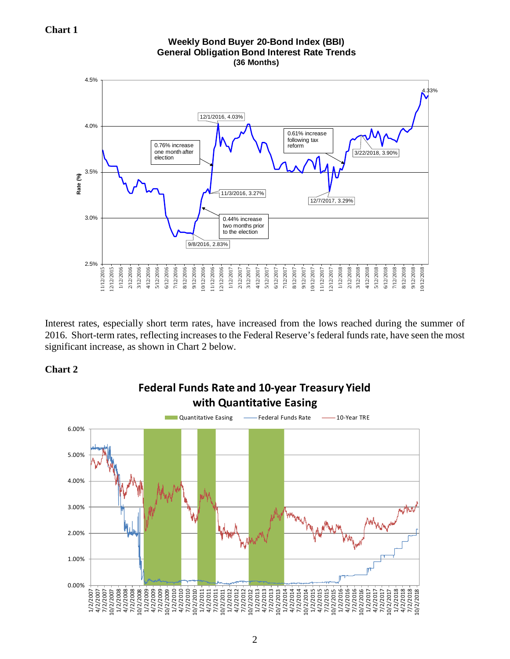

Interest rates, especially short term rates, have increased from the lows reached during the summer of 2016. Short-term rates, reflecting increases to the Federal Reserve's federal funds rate, have seen the most significant increase, as shown in Chart 2 below.

# **Chart 2**